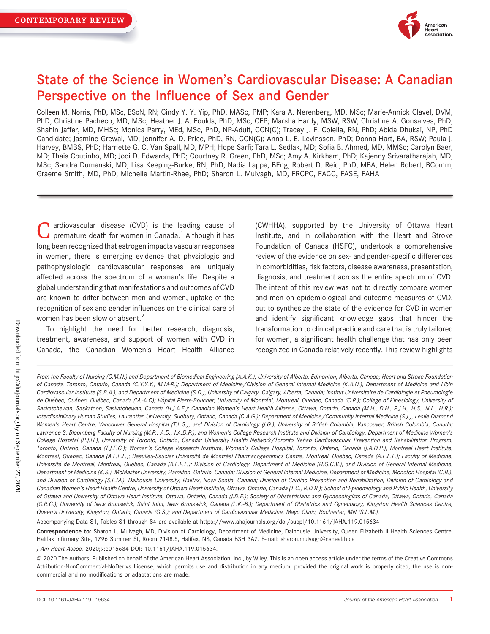

## State of the Science in Women's Cardiovascular Disease: A Canadian Perspective on the Influence of Sex and Gender

Colleen M. Norris, PhD, MSc, BScN, RN; Cindy Y. Y. Yip, PhD, MASc, PMP; Kara A. Nerenberg, MD, MSc; Marie-Annick Clavel, DVM, PhD; Christine Pacheco, MD, MSc; Heather J. A. Foulds, PhD, MSc, CEP; Marsha Hardy, MSW, RSW; Christine A. Gonsalves, PhD; Shahin Jaffer, MD, MHSc; Monica Parry, MEd, MSc, PhD, NP-Adult, CCN(C); Tracey J. F. Colella, RN, PhD; Abida Dhukai, NP, PhD Candidate; Jasmine Grewal, MD; Jennifer A. D. Price, PhD, RN, CCN(C); Anna L. E. Levinsson, PhD; Donna Hart, BA, RSW; Paula J. Harvey, BMBS, PhD; Harriette G. C. Van Spall, MD, MPH; Hope Sarfi; Tara L. Sedlak, MD; Sofia B. Ahmed, MD, MMSc; Carolyn Baer, MD; Thais Coutinho, MD; Jodi D. Edwards, PhD; Courtney R. Green, PhD, MSc; Amy A. Kirkham, PhD; Kajenny Srivaratharajah, MD, MSc; Sandra Dumanski, MD; Lisa Keeping-Burke, RN, PhD; Nadia Lappa, BEng; Robert D. Reid, PhD, MBA; Helen Robert, BComm; Graeme Smith, MD, PhD; Michelle Martin-Rhee, PhD; Sharon L. Mulvagh, MD, FRCPC, FACC, FASE, FAHA

ardiovascular disease (CVD) is the leading cause of premature death for women in Canada.<sup>1</sup> Although it has long been recognized that estrogen impacts vascular responses in women, there is emerging evidence that physiologic and pathophysiologic cardiovascular responses are uniquely affected across the spectrum of a woman's life. Despite a global understanding that manifestations and outcomes of CVD are known to differ between men and women, uptake of the recognition of sex and gender influences on the clinical care of women has been slow or absent.<sup>2</sup>

To highlight the need for better research, diagnosis, treatment, awareness, and support of women with CVD in Canada, the Canadian Women's Heart Health Alliance (CWHHA), supported by the University of Ottawa Heart Institute, and in collaboration with the Heart and Stroke Foundation of Canada (HSFC), undertook a comprehensive review of the evidence on sex- and gender-specific differences in comorbidities, risk factors, disease awareness, presentation, diagnosis, and treatment across the entire spectrum of CVD. The intent of this review was not to directly compare women and men on epidemiological and outcome measures of CVD, but to synthesize the state of the evidence for CVD in women and identify significant knowledge gaps that hinder the transformation to clinical practice and care that is truly tailored for women, a significant health challenge that has only been recognized in Canada relatively recently. This review highlights

From the Faculty of Nursing (C.M.N.) and Department of Biomedical Engineering (A.A.K.), University of Alberta, Edmonton, Alberta, Canada; Heart and Stroke Foundation of Canada, Toronto, Ontario, Canada (C.Y.Y.Y., M.M-R.); Department of Medicine/Division of General Internal Medicine (K.A.N.), Department of Medicine and Libin Cardiovascular Institute (S.B.A.), and Department of Medicine (S.D.), University of Calgary, Calgary, Alberta, Canada; Institut Universitaire de Cardiologie et Pneumologie de Québec, Québec, Québec, Canada (M.-A.C); Hôpital Pierre-Boucher, University of Montréal, Montreal, Quebec, Canada (C.P.); College of Kinesiology, University of Saskatchewan, Saskatoon, Saskatchewan, Canada (H.J.A.F.); Canadian Women's Heart Health Alliance, Ottawa, Ontario, Canada (M.H., D.H., P.J.H., H.S., N.L., H.R.); Interdisciplinary Human Studies, Laurentian University, Sudbury, Ontario, Canada (C.A.G.); Department of Medicine/Community Internal Medicine (S.J.), Leslie Diamond Women's Heart Centre, Vancouver General Hospital (T.L.S.), and Division of Cardiology (J.G.), University of British Columbia, Vancouver, British Columbia, Canada; Lawrence S. Bloomberg Faculty of Nursing (M.P., A.D., J.A.D.P.), and Women's College Research Institute and Division of Cardiology, Department of Medicine Women's College Hospital (P.J.H.), University of Toronto, Ontario, Canada; University Health Network/Toronto Rehab Cardiovascular Prevention and Rehabilitation Program, Toronto, Ontario, Canada (T.J.F.C.); Women's College Research Institute, Women's College Hospital, Toronto, Ontario, Canada (J.A.D.P.); Montreal Heart Institute, Montreal, Quebec, Canada (A.L.E.L.); Beaulieu-Saucier Université de Montréal Pharmacogenomics Centre, Montreal, Quebec, Canada (A.L.E.L.); Faculty of Medicine, Université de Montréal, Montreal, Quebec, Canada (A.L.E.L.); Division of Cardiology, Department of Medicine (H.G.C.V.), and Division of General Internal Medicine, Department of Medicine (K.S.), McMaster University, Hamilton, Ontario, Canada; Division of General Internal Medicine, Department of Medicine, Moncton Hospital (C.B.), and Division of Cardiology (S.L.M.), Dalhousie University, Halifax, Nova Scotia, Canada; Division of Cardiac Prevention and Rehabilitation, Division of Cardiology and Canadian Women's Heart Health Centre, University of Ottawa Heart Institute, Ottawa, Ontario, Canada (T.C., R.D.R.); School of Epidemiology and Public Health, University of Ottawa and University of Ottawa Heart Institute, Ottawa, Ontario, Canada (J.D.E.); Society of Obstetricians and Gynaecologists of Canada, Ottawa, Ontario, Canada (C.R.G.); University of New Brunswick, Saint John, New Brunswick, Canada (L.K.-B.); Department of Obstetrics and Gynecology, Kingston Health Sciences Centre, Queen's University, Kingston, Ontario, Canada (G.S.); and Department of Cardiovascular Medicine, Mayo Clinic, Rochester, MN (S.L.M.).

Accompanying Data S1, Tables S1 through S4 are available at<https://www.ahajournals.org/doi/suppl/10.1161/JAHA.119.015634>

Correspondence to: Sharon L. Mulvagh, MD, Division of Cardiology, Department of Medicine, Dalhousie University, Queen Elizabeth II Health Sciences Centre, Halifax Infirmary Site, 1796 Summer St, Room 2148.5, Halifax, NS, Canada B3H 3A7. E-mail: [sharon.mulvagh@nshealth.ca](mailto:sharon.mulvagh@nshealth.ca)

J Am Heart Assoc. 2020;9:e015634 DOI: 10.1161/JAHA.119.015634.

ª 2020 The Authors. Published on behalf of the American Heart Association, Inc., by Wiley. This is an open access article under the terms of the [Creative Commons](http://creativecommons.org/licenses/by-nc-nd/4.0/) [Attribution-NonCommercial-NoDerivs](http://creativecommons.org/licenses/by-nc-nd/4.0/) License, which permits use and distribution in any medium, provided the original work is properly cited, the use is noncommercial and no modifications or adaptations are made.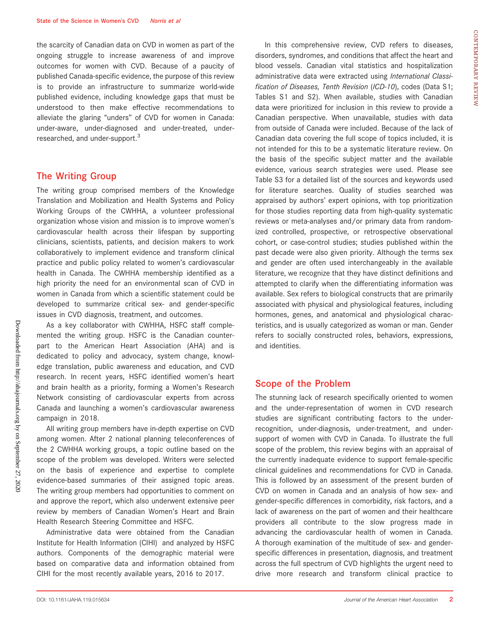the scarcity of Canadian data on CVD in women as part of the ongoing struggle to increase awareness of and improve outcomes for women with CVD. Because of a paucity of published Canada-specific evidence, the purpose of this review is to provide an infrastructure to summarize world-wide published evidence, including knowledge gaps that must be understood to then make effective recommendations to alleviate the glaring "unders" of CVD for women in Canada: under-aware, under-diagnosed and under-treated, underresearched, and under-support.<sup>3</sup>

## The Writing Group

The writing group comprised members of the Knowledge Translation and Mobilization and Health Systems and Policy Working Groups of the CWHHA, a volunteer professional organization whose vision and mission is to improve women's cardiovascular health across their lifespan by supporting clinicians, scientists, patients, and decision makers to work collaboratively to implement evidence and transform clinical practice and public policy related to women's cardiovascular health in Canada. The CWHHA membership identified as a high priority the need for an environmental scan of CVD in women in Canada from which a scientific statement could be developed to summarize critical sex- and gender-specific issues in CVD diagnosis, treatment, and outcomes.

As a key collaborator with CWHHA, HSFC staff complemented the writing group. HSFC is the Canadian counterpart to the American Heart Association (AHA) and is dedicated to policy and advocacy, system change, knowledge translation, public awareness and education, and CVD research. In recent years, HSFC identified women's heart and brain health as a priority, forming a Women's Research Network consisting of cardiovascular experts from across Canada and launching a women's cardiovascular awareness campaign in 2018.

All writing group members have in-depth expertise on CVD among women. After 2 national planning teleconferences of the 2 CWHHA working groups, a topic outline based on the scope of the problem was developed. Writers were selected on the basis of experience and expertise to complete evidence-based summaries of their assigned topic areas. The writing group members had opportunities to comment on and approve the report, which also underwent extensive peer review by members of Canadian Women's Heart and Brain Health Research Steering Committee and HSFC.

Administrative data were obtained from the Canadian Institute for Health Information (CIHI) and analyzed by HSFC authors. Components of the demographic material were based on comparative data and information obtained from CIHI for the most recently available years, 2016 to 2017.

CONTEMPORARY

CONTEMPORARY REVIEW

REVIEW

In this comprehensive review, CVD refers to diseases, disorders, syndromes, and conditions that affect the heart and blood vessels. Canadian vital statistics and hospitalization administrative data were extracted using International Classification of Diseases, Tenth Revision (ICD-10), codes (Data S1; Tables S1 and S2). When available, studies with Canadian data were prioritized for inclusion in this review to provide a Canadian perspective. When unavailable, studies with data from outside of Canada were included. Because of the lack of Canadian data covering the full scope of topics included, it is not intended for this to be a systematic literature review. On the basis of the specific subject matter and the available evidence, various search strategies were used. Please see Table S3 for a detailed list of the sources and keywords used for literature searches. Quality of studies searched was appraised by authors' expert opinions, with top prioritization for those studies reporting data from high-quality systematic reviews or meta-analyses and/or primary data from randomized controlled, prospective, or retrospective observational cohort, or case-control studies; studies published within the past decade were also given priority. Although the terms sex and gender are often used interchangeably in the available literature, we recognize that they have distinct definitions and attempted to clarify when the differentiating information was available. Sex refers to biological constructs that are primarily associated with physical and physiological features, including hormones, genes, and anatomical and physiological characteristics, and is usually categorized as woman or man. Gender refers to socially constructed roles, behaviors, expressions, and identities.

## Scope of the Problem

The stunning lack of research specifically oriented to women and the under-representation of women in CVD research studies are significant contributing factors to the underrecognition, under-diagnosis, under-treatment, and undersupport of women with CVD in Canada. To illustrate the full scope of the problem, this review begins with an appraisal of the currently inadequate evidence to support female-specific clinical guidelines and recommendations for CVD in Canada. This is followed by an assessment of the present burden of CVD on women in Canada and an analysis of how sex- and gender-specific differences in comorbidity, risk factors, and a lack of awareness on the part of women and their healthcare providers all contribute to the slow progress made in advancing the cardiovascular health of women in Canada. A thorough examination of the multitude of sex- and genderspecific differences in presentation, diagnosis, and treatment across the full spectrum of CVD highlights the urgent need to drive more research and transform clinical practice to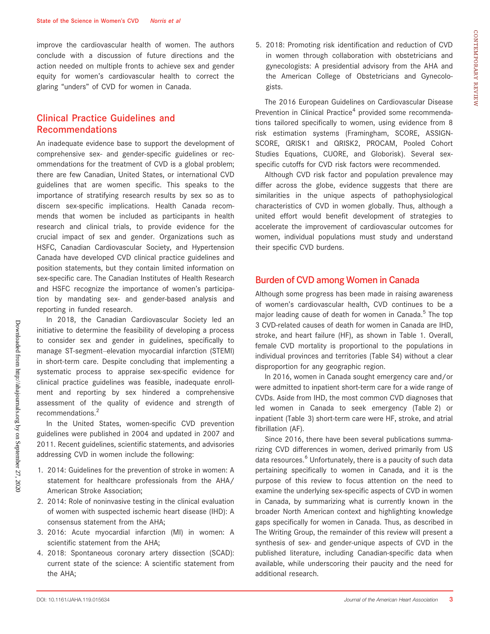improve the cardiovascular health of women. The authors conclude with a discussion of future directions and the action needed on multiple fronts to achieve sex and gender equity for women's cardiovascular health to correct the glaring "unders" of CVD for women in Canada.

## Clinical Practice Guidelines and Recommendations

An inadequate evidence base to support the development of comprehensive sex- and gender-specific guidelines or recommendations for the treatment of CVD is a global problem; there are few Canadian, United States, or international CVD guidelines that are women specific. This speaks to the importance of stratifying research results by sex so as to discern sex-specific implications. Health Canada recommends that women be included as participants in health research and clinical trials, to provide evidence for the crucial impact of sex and gender. Organizations such as HSFC, Canadian Cardiovascular Society, and Hypertension Canada have developed CVD clinical practice guidelines and position statements, but they contain limited information on sex-specific care. The Canadian Institutes of Health Research and HSFC recognize the importance of women's participation by mandating sex- and gender-based analysis and reporting in funded research.

In 2018, the Canadian Cardiovascular Society led an initiative to determine the feasibility of developing a process to consider sex and gender in guidelines, specifically to manage ST-segment–elevation myocardial infarction (STEMI) in short-term care. Despite concluding that implementing a systematic process to appraise sex-specific evidence for clinical practice guidelines was feasible, inadequate enrollment and reporting by sex hindered a comprehensive assessment of the quality of evidence and strength of recommendations.<sup>2</sup>

In the United States, women-specific CVD prevention guidelines were published in 2004 and updated in 2007 and 2011. Recent guidelines, scientific statements, and advisories addressing CVD in women include the following:

- 1. 2014: Guidelines for the prevention of stroke in women: A statement for healthcare professionals from the AHA/ American Stroke Association;
- 2. 2014: Role of noninvasive testing in the clinical evaluation of women with suspected ischemic heart disease (IHD): A consensus statement from the AHA;
- 3. 2016: Acute myocardial infarction (MI) in women: A scientific statement from the AHA;
- 4. 2018: Spontaneous coronary artery dissection (SCAD): current state of the science: A scientific statement from the AHA;

5. 2018: Promoting risk identification and reduction of CVD in women through collaboration with obstetricians and gynecologists: A presidential advisory from the AHA and the American College of Obstetricians and Gynecologists.

The 2016 European Guidelines on Cardiovascular Disease Prevention in Clinical Practice<sup>4</sup> provided some recommendations tailored specifically to women, using evidence from 8 risk estimation systems (Framingham, SCORE, ASSIGN-SCORE, QRISK1 and QRISK2, PROCAM, Pooled Cohort Studies Equations, CUORE, and Globorisk). Several sexspecific cutoffs for CVD risk factors were recommended.

Although CVD risk factor and population prevalence may differ across the globe, evidence suggests that there are similarities in the unique aspects of pathophysiological characteristics of CVD in women globally. Thus, although a united effort would benefit development of strategies to accelerate the improvement of cardiovascular outcomes for women, individual populations must study and understand their specific CVD burdens.

## Burden of CVD among Women in Canada

Although some progress has been made in raising awareness of women's cardiovascular health, CVD continues to be a major leading cause of death for women in Canada.<sup>5</sup> The top 3 CVD-related causes of death for women in Canada are IHD, stroke, and heart failure (HF), as shown in Table 1. Overall, female CVD mortality is proportional to the populations in individual provinces and territories (Table S4) without a clear disproportion for any geographic region.

In 2016, women in Canada sought emergency care and/or were admitted to inpatient short-term care for a wide range of CVDs. Aside from IHD, the most common CVD diagnoses that led women in Canada to seek emergency (Table 2) or inpatient (Table 3) short-term care were HF, stroke, and atrial fibrillation (AF).

Since 2016, there have been several publications summarizing CVD differences in women, derived primarily from US data resources.<sup>6</sup> Unfortunately, there is a paucity of such data pertaining specifically to women in Canada, and it is the purpose of this review to focus attention on the need to examine the underlying sex-specific aspects of CVD in women in Canada, by summarizing what is currently known in the broader North American context and highlighting knowledge gaps specifically for women in Canada. Thus, as described in The Writing Group, the remainder of this review will present a synthesis of sex- and gender-unique aspects of CVD in the published literature, including Canadian-specific data when available, while underscoring their paucity and the need for additional research.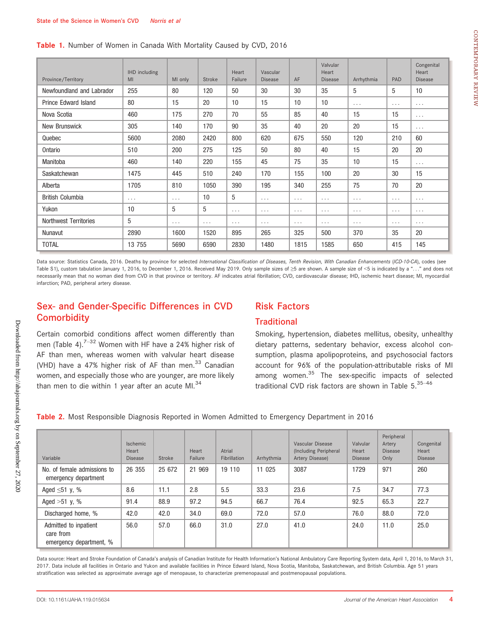#### Table 1. Number of Women in Canada With Mortality Caused by CVD, 2016

| Province/Territory           | IHD including<br>MI | MI only  | Stroke   | Heart<br>Failure | Vascular<br><b>Disease</b> | AF       | Valvular<br>Heart<br><b>Disease</b> | Arrhythmia | PAD      | Congenital<br>Heart<br><b>Disease</b> |
|------------------------------|---------------------|----------|----------|------------------|----------------------------|----------|-------------------------------------|------------|----------|---------------------------------------|
| Newfoundland and Labrador    | 255                 | 80       | 120      | 50               | 30                         | 30       | 35                                  | 5          | 5        | 10                                    |
| Prince Edward Island         | 80                  | 15       | 20       | 10               | 15                         | 10       | 10                                  | $\cdots$   | $\cdots$ | $\cdots$                              |
| Nova Scotia                  | 460                 | 175      | 270      | 70               | 55                         | 85       | 40                                  | 15         | 15       | $\cdots$                              |
| <b>New Brunswick</b>         | 305                 | 140      | 170      | 90               | 35                         | 40       | 20                                  | 20         | 15       | $\cdots$                              |
| Quebec                       | 5600                | 2080     | 2420     | 800              | 620                        | 675      | 550                                 | 120        | 210      | 60                                    |
| Ontario                      | 510                 | 200      | 275      | 125              | 50                         | 80       | 40                                  | 15         | 20       | 20                                    |
| Manitoba                     | 460                 | 140      | 220      | 155              | 45                         | 75       | 35                                  | 10         | 15       | $\cdots$                              |
| Saskatchewan                 | 1475                | 445      | 510      | 240              | 170                        | 155      | 100                                 | 20         | 30       | 15                                    |
| Alberta                      | 1705                | 810      | 1050     | 390              | 195                        | 340      | 255                                 | 75         | 70       | 20                                    |
| <b>British Columbia</b>      | $\cdots$            | $\cdots$ | 10       | 5                | $\cdots$                   | $\cdots$ | $\cdots$                            | $\cdots$   | $\cdots$ | $\cdots$                              |
| Yukon                        | 10                  | 5        | 5        | $\cdots$         | $\cdots$                   | $\cdots$ | $\cdots$                            | $\cdots$   | $\cdots$ | $\cdots$                              |
| <b>Northwest Territories</b> | 5                   | $\cdots$ | $\cdots$ | $\cdots$         | $\cdots$                   | $\cdots$ | $\cdots$                            | $\cdots$   | $\cdots$ | $\cdots$                              |
| Nunavut                      | 2890                | 1600     | 1520     | 895              | 265                        | 325      | 500                                 | 370        | 35       | 20                                    |
| <b>TOTAL</b>                 | 13 755              | 5690     | 6590     | 2830             | 1480                       | 1815     | 1585                                | 650        | 415      | 145                                   |

Data source: Statistics Canada, 2016. Deaths by province for selected International Classification of Diseases, Tenth Revision, With Canadian Enhancements (ICD-10-CA), codes (see Table S1), custom tabulation January 1, 2016, to December 1, 2016. Received May 2019. Only sample sizes of ≥5 are shown. A sample size of <5 is indicated by a "..." and does not necessarily mean that no woman died from CVD in that province or territory. AF indicates atrial fibrillation; CVD, cardiovascular disease; IHD, ischemic heart disease; MI, myocardial infarction; PAD, peripheral artery disease.

## Sex- and Gender-Specific Differences in CVD **Comorbidity**

## Risk Factors

## **Traditional**

Certain comorbid conditions affect women differently than men (Table 4). $7-32$  Women with HF have a 24% higher risk of AF than men, whereas women with valvular heart disease (VHD) have a 47% higher risk of AF than men. $33$  Canadian women, and especially those who are younger, are more likely than men to die within 1 year after an acute  $MI^{34}$ 

Smoking, hypertension, diabetes mellitus, obesity, unhealthy dietary patterns, sedentary behavior, excess alcohol consumption, plasma apolipoproteins, and psychosocial factors account for 96% of the population-attributable risks of MI among women.<sup>35</sup> The sex-specific impacts of selected traditional CVD risk factors are shown in Table 5.35–<sup>46</sup>

Table 2. Most Responsible Diagnosis Reported in Women Admitted to Emergency Department in 2016

| Variable                                                      | <b>Ischemic</b><br>Heart<br><b>Disease</b> | Stroke | Heart<br>Failure | Atrial<br><b>Fibrillation</b> | Arrhythmia | Vascular Disease<br>(Including Peripheral<br>Artery Disease) | Valvular<br>Heart<br><b>Disease</b> | Peripheral<br>Artery<br><b>Disease</b><br>Only | Congenital<br><b>Heart</b><br><b>Disease</b> |
|---------------------------------------------------------------|--------------------------------------------|--------|------------------|-------------------------------|------------|--------------------------------------------------------------|-------------------------------------|------------------------------------------------|----------------------------------------------|
| No. of female admissions to<br>emergency department           | 26 355                                     | 25 672 | 21 969           | 19 110                        | 11 025     | 3087                                                         | 1729                                | 971                                            | 260                                          |
| Aged $\leq 51$ y, %                                           | 8.6                                        | 11.1   | 2.8              | 5.5                           | 33.3       | 23.6                                                         | 7.5                                 | 34.7                                           | 77.3                                         |
| Aged $>51$ y, %                                               | 91.4                                       | 88.9   | 97.2             | 94.5                          | 66.7       | 76.4                                                         | 92.5                                | 65.3                                           | 22.7                                         |
| Discharged home, %                                            | 42.0                                       | 42.0   | 34.0             | 69.0                          | 72.0       | 57.0                                                         | 76.0                                | 88.0                                           | 72.0                                         |
| Admitted to inpatient<br>care from<br>emergency department, % | 56.0                                       | 57.0   | 66.0             | 31.0                          | 27.0       | 41.0                                                         | 24.0                                | 11.0                                           | 25.0                                         |

Data source: Heart and Stroke Foundation of Canada's analysis of Canadian Institute for Health Information's National Ambulatory Care Reporting System data, April 1, 2016, to March 31, 2017. Data include all facilities in Ontario and Yukon and available facilities in Prince Edward Island, Nova Scotia, Manitoba, Saskatchewan, and British Columbia. Age 51 years stratification was selected as approximate average age of menopause, to characterize premenopausal and postmenopausal populations.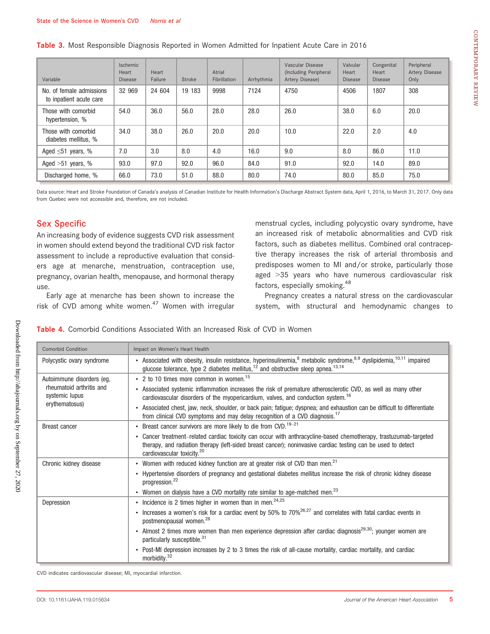#### Table 3. Most Responsible Diagnosis Reported in Women Admitted for Inpatient Acute Care in 2016

| Variable                                            | <b>Ischemic</b><br>Heart<br><b>Disease</b> | Heart<br>Failure | Stroke | Atrial<br>Fibrillation | Arrhythmia | Vascular Disease<br>(Including Peripheral<br>Artery Disease) | Valvular<br>Heart<br><b>Disease</b> | Congenital<br>Heart<br><b>Disease</b> | Peripheral<br>Artery Disease<br>Only |
|-----------------------------------------------------|--------------------------------------------|------------------|--------|------------------------|------------|--------------------------------------------------------------|-------------------------------------|---------------------------------------|--------------------------------------|
| No. of female admissions<br>to inpatient acute care | 32 969                                     | 24 604           | 19 183 | 9998                   | 7124       | 4750                                                         | 4506                                | 1807                                  | 308                                  |
| Those with comorbid<br>hypertension, %              | 54.0                                       | 36.0             | 56.0   | 28.0                   | 28.0       | 26.0                                                         | 38.0                                | 6.0                                   | 20.0                                 |
| Those with comorbid<br>diabetes mellitus. %         | 34.0                                       | 38.0             | 26.0   | 20.0                   | 20.0       | 10.0                                                         | 22.0                                | 2.0                                   | 4.0                                  |
| Aged $\leq 51$ years, %                             | 7.0                                        | 3.0              | 8.0    | 4.0                    | 16.0       | 9.0                                                          | 8.0                                 | 86.0                                  | 11.0                                 |
| Aged $>51$ years, %                                 | 93.0                                       | 97.0             | 92.0   | 96.0                   | 84.0       | 91.0                                                         | 92.0                                | 14.0                                  | 89.0                                 |
| Discharged home, %                                  | 66.0                                       | 73.0             | 51.0   | 88.0                   | 80.0       | 74.0                                                         | 80.0                                | 85.0                                  | 75.0                                 |

Data source: Heart and Stroke Foundation of Canada's analysis of Canadian Institute for Health Information's Discharge Abstract System data, April 1, 2016, to March 31, 2017. Only data from Quebec were not accessible and, therefore, are not included.

## Sex Specific

An increasing body of evidence suggests CVD risk assessment in women should extend beyond the traditional CVD risk factor assessment to include a reproductive evaluation that considers age at menarche, menstruation, contraception use, pregnancy, ovarian health, menopause, and hormonal therapy use.

Early age at menarche has been shown to increase the risk of CVD among white women. $47$  Women with irregular menstrual cycles, including polycystic ovary syndrome, have an increased risk of metabolic abnormalities and CVD risk factors, such as diabetes mellitus. Combined oral contraceptive therapy increases the risk of arterial thrombosis and predisposes women to MI and/or stroke, particularly those aged >35 years who have numerous cardiovascular risk factors, especially smoking.<sup>48</sup>

Pregnancy creates a natural stress on the cardiovascular system, with structural and hemodynamic changes to

|  |  | <b>Table 4.</b> Comorbid Conditions Associated With an Increased Risk of CVD in Women |  |  |  |
|--|--|---------------------------------------------------------------------------------------|--|--|--|
|  |  |                                                                                       |  |  |  |

| <b>Comorbid Condition</b>                  | Impact on Women's Heart Health                                                                                                                                                                                                                                                         |
|--------------------------------------------|----------------------------------------------------------------------------------------------------------------------------------------------------------------------------------------------------------------------------------------------------------------------------------------|
| Polycystic ovary syndrome                  | • Associated with obesity, insulin resistance, hyperinsulinemia, $6 \text{ metabolic syndrome}, 8.9 \text{ dyslipidemia}, 10.11 \text{ impaired}$<br>glucose tolerance, type 2 diabetes mellitus, <sup>12</sup> and obstructive sleep apnea. <sup>13,14</sup>                          |
| Autoimmune disorders (eg,                  | • 2 to 10 times more common in women. <sup>15</sup>                                                                                                                                                                                                                                    |
| rheumatoid arthritis and<br>systemic lupus | • Associated systemic inflammation increases the risk of premature atherosclerotic CVD, as well as many other<br>cardiovascular disorders of the myopericardium, valves, and conduction system. <sup>16</sup>                                                                          |
| erythematosus)                             | • Associated chest, jaw, neck, shoulder, or back pain; fatigue; dyspnea; and exhaustion can be difficult to differentiate<br>from clinical CVD symptoms and may delay recognition of a CVD diagnosis. <sup>17</sup>                                                                    |
| <b>Breast cancer</b>                       | • Breast cancer survivors are more likely to die from CVD. <sup>19-21</sup>                                                                                                                                                                                                            |
|                                            | Cancer treatment-related cardiac toxicity can occur with anthracycline-based chemotherapy, trastuzumab-targeted<br>$\bullet$<br>therapy, and radiation therapy (left-sided breast cancer); noninvasive cardiac testing can be used to detect<br>cardiovascular toxicity. <sup>20</sup> |
| Chronic kidney disease                     | • Women with reduced kidney function are at greater risk of CVD than men. <sup>21</sup>                                                                                                                                                                                                |
|                                            | • Hypertensive disorders of pregnancy and gestational diabetes mellitus increase the risk of chronic kidney disease<br>progression. <sup>22</sup>                                                                                                                                      |
|                                            | • Women on dialysis have a CVD mortality rate similar to age-matched men. <sup>23</sup>                                                                                                                                                                                                |
| Depression                                 | • Incidence is 2 times higher in women than in men. $24,25$                                                                                                                                                                                                                            |
|                                            | • Increases a women's risk for a cardiac event by 50% to $70\%^{26,27}$ and correlates with fatal cardiac events in<br>postmenopausal women. <sup>28</sup>                                                                                                                             |
|                                            | • Almost 2 times more women than men experience depression after cardiac diagnosis <sup>29,30</sup> ; younger women are<br>particularly susceptible. <sup>31</sup>                                                                                                                     |
|                                            | • Post-MI depression increases by 2 to 3 times the risk of all-cause mortality, cardiac mortality, and cardiac<br>morbidity. <sup>32</sup>                                                                                                                                             |

CVD indicates cardiovascular disease; MI, myocardial infarction.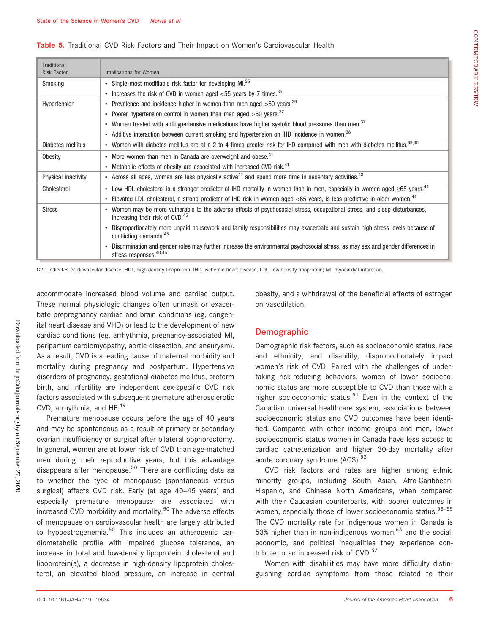#### Table 5. Traditional CVD Risk Factors and Their Impact on Women's Cardiovascular Health

| Traditional         |                                                                                                                                                                         |
|---------------------|-------------------------------------------------------------------------------------------------------------------------------------------------------------------------|
| <b>Risk Factor</b>  | Implications for Women                                                                                                                                                  |
| Smoking             | • Single-most modifiable risk factor for developing MI. <sup>35</sup>                                                                                                   |
|                     | • Increases the risk of CVD in women aged $\lt 55$ years by 7 times. <sup>35</sup>                                                                                      |
| Hypertension        | • Prevalence and incidence higher in women than men aged $>60$ years. <sup>36</sup>                                                                                     |
|                     | • Poorer hypertension control in women than men aged $>60$ years. <sup>37</sup>                                                                                         |
|                     | • Women treated with antihypertensive medications have higher systolic blood pressures than men. <sup>37</sup>                                                          |
|                     | • Additive interaction between current smoking and hypertension on IHD incidence in women. <sup>38</sup>                                                                |
| Diabetes mellitus   | • Women with diabetes mellitus are at a 2 to 4 times greater risk for IHD compared with men with diabetes mellitus. <sup>39,40</sup>                                    |
| <b>Obesity</b>      | • More women than men in Canada are overweight and obese. <sup>41</sup>                                                                                                 |
|                     | • Metabolic effects of obesity are associated with increased CVD risk. <sup>41</sup>                                                                                    |
| Physical inactivity | • Across all ages, women are less physically active <sup>42</sup> and spend more time in sedentary activities. <sup>43</sup>                                            |
| Cholesterol         | • Low HDL cholesterol is a stronger predictor of IHD mortality in women than in men, especially in women aged $\geq 65$ years. <sup>44</sup>                            |
|                     | • Elevated LDL cholesterol, a strong predictor of IHD risk in women aged <65 years, is less predictive in older women. <sup>44</sup>                                    |
| <b>Stress</b>       | Women may be more vulnerable to the adverse effects of psychosocial stress, occupational stress, and sleep disturbances,<br>increasing their risk of CVD. <sup>45</sup> |
|                     | Disproportionately more unpaid housework and family responsibilities may exacerbate and sustain high stress levels because of<br>conflicting demands. <sup>45</sup>     |
|                     | Discrimination and gender roles may further increase the environmental psychosocial stress, as may sex and gender differences in<br>stress responses. <sup>40,46</sup>  |

CVD indicates cardiovascular disease; HDL, high-density lipoprotein, IHD, ischemic heart disease; LDL, low-density lipoprotein; MI, myocardial infarction.

accommodate increased blood volume and cardiac output. These normal physiologic changes often unmask or exacerbate prepregnancy cardiac and brain conditions (eg, congenital heart disease and VHD) or lead to the development of new cardiac conditions (eg, arrhythmia, pregnancy-associated MI, peripartum cardiomyopathy, aortic dissection, and aneurysm). As a result, CVD is a leading cause of maternal morbidity and mortality during pregnancy and postpartum. Hypertensive disorders of pregnancy, gestational diabetes mellitus, preterm birth, and infertility are independent sex-specific CVD risk factors associated with subsequent premature atherosclerotic CVD, arrhythmia, and HF.<sup>49</sup>

Premature menopause occurs before the age of 40 years and may be spontaneous as a result of primary or secondary ovarian insufficiency or surgical after bilateral oophorectomy. In general, women are at lower risk of CVD than age-matched men during their reproductive years, but this advantage disappears after menopause.<sup>50</sup> There are conflicting data as to whether the type of menopause (spontaneous versus surgical) affects CVD risk. Early (at age 40–45 years) and especially premature menopause are associated with increased CVD morbidity and mortality.<sup>50</sup> The adverse effects of menopause on cardiovascular health are largely attributed to hypoestrogenemia.<sup>50</sup> This includes an atherogenic cardiometabolic profile with impaired glucose tolerance, an increase in total and low-density lipoprotein cholesterol and lipoprotein(a), a decrease in high-density lipoprotein cholesterol, an elevated blood pressure, an increase in central obesity, and a withdrawal of the beneficial effects of estrogen on vasodilation.

## Demographic

Demographic risk factors, such as socioeconomic status, race and ethnicity, and disability, disproportionately impact women's risk of CVD. Paired with the challenges of undertaking risk-reducing behaviors, women of lower socioeconomic status are more susceptible to CVD than those with a higher socioeconomic status.<sup>51</sup> Even in the context of the Canadian universal healthcare system, associations between socioeconomic status and CVD outcomes have been identified. Compared with other income groups and men, lower socioeconomic status women in Canada have less access to cardiac catheterization and higher 30-day mortality after acute coronary syndrome (ACS).<sup>52</sup>

CVD risk factors and rates are higher among ethnic minority groups, including South Asian, Afro-Caribbean, Hispanic, and Chinese North Americans, when compared with their Caucasian counterparts, with poorer outcomes in women, especially those of lower socioeconomic status.<sup>53-55</sup> The CVD mortality rate for indigenous women in Canada is 53% higher than in non-indigenous women,<sup>56</sup> and the social, economic, and political inequalities they experience contribute to an increased risk of CVD.<sup>57</sup>

Women with disabilities may have more difficulty distinguishing cardiac symptoms from those related to their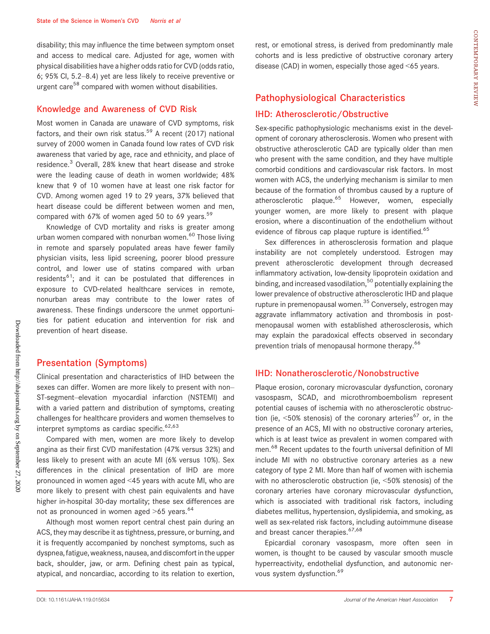disability; this may influence the time between symptom onset and access to medical care. Adjusted for age, women with physical disabilities have a higher odds ratio for CVD (odds ratio, 6; 95% CI, 5.2–8.4) yet are less likely to receive preventive or urgent care<sup>58</sup> compared with women without disabilities.

#### Knowledge and Awareness of CVD Risk

Most women in Canada are unaware of CVD symptoms, risk factors, and their own risk status.<sup>59</sup> A recent (2017) national survey of 2000 women in Canada found low rates of CVD risk awareness that varied by age, race and ethnicity, and place of residence.<sup>3</sup> Overall, 28% knew that heart disease and stroke were the leading cause of death in women worldwide; 48% knew that 9 of 10 women have at least one risk factor for CVD. Among women aged 19 to 29 years, 37% believed that heart disease could be different between women and men, compared with 67% of women aged 50 to 69 years.<sup>59</sup>

Knowledge of CVD mortality and risks is greater among urban women compared with nonurban women.<sup>60</sup> Those living in remote and sparsely populated areas have fewer family physician visits, less lipid screening, poorer blood pressure control, and lower use of statins compared with urban residents<sup>61</sup>; and it can be postulated that differences in exposure to CVD-related healthcare services in remote, nonurban areas may contribute to the lower rates of awareness. These findings underscore the unmet opportunities for patient education and intervention for risk and prevention of heart disease.

## Presentation (Symptoms)

Clinical presentation and characteristics of IHD between the sexes can differ. Women are more likely to present with non– ST-segment–elevation myocardial infarction (NSTEMI) and with a varied pattern and distribution of symptoms, creating challenges for healthcare providers and women themselves to interpret symptoms as cardiac specific.<sup>62,63</sup>

Compared with men, women are more likely to develop angina as their first CVD manifestation (47% versus 32%) and less likely to present with an acute MI (6% versus 10%). Sex differences in the clinical presentation of IHD are more pronounced in women aged <45 years with acute MI, who are more likely to present with chest pain equivalents and have higher in-hospital 30-day mortality; these sex differences are not as pronounced in women aged  $>65$  years.<sup>64</sup>

Although most women report central chest pain during an ACS, they may describe it as tightness, pressure, or burning, and it is frequently accompanied by nonchest symptoms, such as dyspnea, fatigue, weakness, nausea, and discomfort in the upper back, shoulder, jaw, or arm. Defining chest pain as typical, atypical, and noncardiac, according to its relation to exertion, rest, or emotional stress, is derived from predominantly male cohorts and is less predictive of obstructive coronary artery disease (CAD) in women, especially those aged <65 years.

## Pathophysiological Characteristics

#### IHD: Atherosclerotic/Obstructive

Sex-specific pathophysiologic mechanisms exist in the development of coronary atherosclerosis. Women who present with obstructive atherosclerotic CAD are typically older than men who present with the same condition, and they have multiple comorbid conditions and cardiovascular risk factors. In most women with ACS, the underlying mechanism is similar to men because of the formation of thrombus caused by a rupture of atherosclerotic plaque. $65$  However, women, especially younger women, are more likely to present with plaque erosion, where a discontinuation of the endothelium without evidence of fibrous cap plaque rupture is identified.<sup>65</sup>

Sex differences in atherosclerosis formation and plaque instability are not completely understood. Estrogen may prevent atherosclerotic development through decreased inflammatory activation, low-density lipoprotein oxidation and binding, and increased vasodilation,  $50$  potentially explaining the lower prevalence of obstructive atherosclerotic IHD and plaque rupture in premenopausal women.<sup>35</sup> Conversely, estrogen may aggravate inflammatory activation and thrombosis in postmenopausal women with established atherosclerosis, which may explain the paradoxical effects observed in secondary prevention trials of menopausal hormone therapy.<sup>66</sup>

#### IHD: Nonatherosclerotic/Nonobstructive

Plaque erosion, coronary microvascular dysfunction, coronary vasospasm, SCAD, and microthromboembolism represent potential causes of ischemia with no atherosclerotic obstruction (ie,  $\leq$ 50% stenosis) of the coronary arteries<sup>67</sup> or, in the presence of an ACS, MI with no obstructive coronary arteries, which is at least twice as prevalent in women compared with men.<sup>68</sup> Recent updates to the fourth universal definition of MI include MI with no obstructive coronary arteries as a new category of type 2 MI. More than half of women with ischemia with no atherosclerotic obstruction (ie, <50% stenosis) of the coronary arteries have coronary microvascular dysfunction, which is associated with traditional risk factors, including diabetes mellitus, hypertension, dyslipidemia, and smoking, as well as sex-related risk factors, including autoimmune disease and breast cancer therapies.<sup>67,68</sup>

Epicardial coronary vasospasm, more often seen in women, is thought to be caused by vascular smooth muscle hyperreactivity, endothelial dysfunction, and autonomic nervous system dysfunction.<sup>69</sup>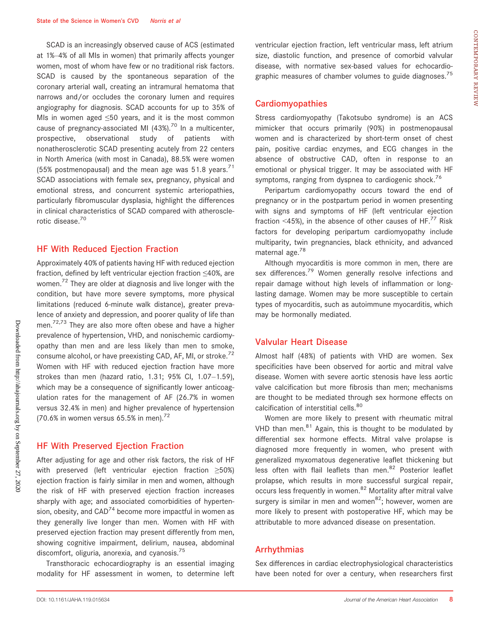SCAD is an increasingly observed cause of ACS (estimated at 1%–4% of all MIs in women) that primarily affects younger women, most of whom have few or no traditional risk factors. SCAD is caused by the spontaneous separation of the coronary arterial wall, creating an intramural hematoma that narrows and/or occludes the coronary lumen and requires angiography for diagnosis. SCAD accounts for up to 35% of MIs in women aged  $\leq 50$  years, and it is the most common cause of pregnancy-associated MI  $(43%)$ .<sup>70</sup> In a multicenter, prospective, observational study of patients with nonatherosclerotic SCAD presenting acutely from 22 centers in North America (with most in Canada), 88.5% were women (55% postmenopausal) and the mean age was 51.8 years.<sup>71</sup> SCAD associations with female sex, pregnancy, physical and emotional stress, and concurrent systemic arteriopathies, particularly fibromuscular dysplasia, highlight the differences in clinical characteristics of SCAD compared with atherosclerotic disease.<sup>70</sup>

#### HF With Reduced Ejection Fraction

Approximately 40% of patients having HF with reduced ejection fraction, defined by left ventricular ejection fraction ≤40%, are women.<sup>72</sup> They are older at diagnosis and live longer with the condition, but have more severe symptoms, more physical limitations (reduced 6-minute walk distance), greater prevalence of anxiety and depression, and poorer quality of life than men.<sup>72,73</sup> They are also more often obese and have a higher prevalence of hypertension, VHD, and nonischemic cardiomyopathy than men and are less likely than men to smoke, consume alcohol, or have preexisting CAD, AF, MI, or stroke.<sup>72</sup> Women with HF with reduced ejection fraction have more strokes than men (hazard ratio, 1.31; 95% CI, 1.07–1.59), which may be a consequence of significantly lower anticoagulation rates for the management of AF (26.7% in women versus 32.4% in men) and higher prevalence of hypertension (70.6% in women versus 65.5% in men).<sup>72</sup>

#### HF With Preserved Ejection Fraction

After adjusting for age and other risk factors, the risk of HF with preserved (left ventricular ejection fraction ≥50%) ejection fraction is fairly similar in men and women, although the risk of HF with preserved ejection fraction increases sharply with age; and associated comorbidities of hypertension, obesity, and  $CAD^{74}$  become more impactful in women as they generally live longer than men. Women with HF with preserved ejection fraction may present differently from men, showing cognitive impairment, delirium, nausea, abdominal discomfort, oliguria, anorexia, and cyanosis.<sup>75</sup>

Transthoracic echocardiography is an essential imaging modality for HF assessment in women, to determine left ventricular ejection fraction, left ventricular mass, left atrium size, diastolic function, and presence of comorbid valvular disease, with normative sex-based values for echocardiographic measures of chamber volumes to guide diagnoses.<sup>75</sup>

#### Cardiomyopathies

Stress cardiomyopathy (Takotsubo syndrome) is an ACS mimicker that occurs primarily (90%) in postmenopausal women and is characterized by short-term onset of chest pain, positive cardiac enzymes, and ECG changes in the absence of obstructive CAD, often in response to an emotional or physical trigger. It may be associated with HF symptoms, ranging from dyspnea to cardiogenic shock.<sup>76</sup>

Peripartum cardiomyopathy occurs toward the end of pregnancy or in the postpartum period in women presenting with signs and symptoms of HF (left ventricular ejection fraction  $\leq$ 45%), in the absence of other causes of HF.<sup>77</sup> Risk factors for developing peripartum cardiomyopathy include multiparity, twin pregnancies, black ethnicity, and advanced maternal age.<sup>78</sup>

Although myocarditis is more common in men, there are sex differences.<sup>79</sup> Women generally resolve infections and repair damage without high levels of inflammation or longlasting damage. Women may be more susceptible to certain types of myocarditis, such as autoimmune myocarditis, which may be hormonally mediated.

#### Valvular Heart Disease

Almost half (48%) of patients with VHD are women. Sex specificities have been observed for aortic and mitral valve disease. Women with severe aortic stenosis have less aortic valve calcification but more fibrosis than men; mechanisms are thought to be mediated through sex hormone effects on calcification of interstitial cells.<sup>80</sup>

Women are more likely to present with rheumatic mitral VHD than men. $81$  Again, this is thought to be modulated by differential sex hormone effects. Mitral valve prolapse is diagnosed more frequently in women, who present with generalized myxomatous degenerative leaflet thickening but less often with flail leaflets than men.<sup>82</sup> Posterior leaflet prolapse, which results in more successful surgical repair, occurs less frequently in women.<sup>82</sup> Mortality after mitral valve surgery is similar in men and women<sup>82</sup>; however, women are more likely to present with postoperative HF, which may be attributable to more advanced disease on presentation.

#### Arrhythmias

Sex differences in cardiac electrophysiological characteristics have been noted for over a century, when researchers first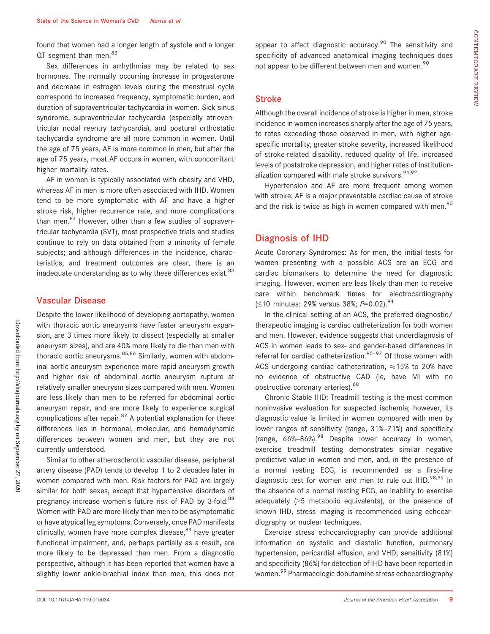found that women had a longer length of systole and a longer QT segment than men.<sup>83</sup>

Sex differences in arrhythmias may be related to sex hormones. The normally occurring increase in progesterone and decrease in estrogen levels during the menstrual cycle correspond to increased frequency, symptomatic burden, and duration of supraventricular tachycardia in women. Sick sinus syndrome, supraventricular tachycardia (especially atrioventricular nodal reentry tachycardia), and postural orthostatic tachycardia syndrome are all more common in women. Until the age of 75 years, AF is more common in men, but after the age of 75 years, most AF occurs in women, with concomitant higher mortality rates.

AF in women is typically associated with obesity and VHD, whereas AF in men is more often associated with IHD. Women tend to be more symptomatic with AF and have a higher stroke risk, higher recurrence rate, and more complications than men. $84$  However, other than a few studies of supraventricular tachycardia (SVT), most prospective trials and studies continue to rely on data obtained from a minority of female subjects; and although differences in the incidence, characteristics, and treatment outcomes are clear, there is an inadequate understanding as to why these differences exist. $83$ 

#### Vascular Disease

Despite the lower likelihood of developing aortopathy, women with thoracic aortic aneurysms have faster aneurysm expansion, are 3 times more likely to dissect (especially at smaller aneurysm sizes), and are 40% more likely to die than men with thoracic aortic aneurysms.<sup>85,86</sup> Similarly, women with abdominal aortic aneurysm experience more rapid aneurysm growth and higher risk of abdominal aortic aneurysm rupture at relatively smaller aneurysm sizes compared with men. Women are less likely than men to be referred for abdominal aortic aneurysm repair, and are more likely to experience surgical complications after repair. $87$  A potential explanation for these differences lies in hormonal, molecular, and hemodynamic differences between women and men, but they are not currently understood.

Similar to other atherosclerotic vascular disease, peripheral artery disease (PAD) tends to develop 1 to 2 decades later in women compared with men. Risk factors for PAD are largely similar for both sexes, except that hypertensive disorders of pregnancy increase women's future risk of PAD by 3-fold.<sup>88</sup> Women with PAD are more likely than men to be asymptomatic or have atypical leg symptoms. Conversely, once PAD manifests clinically, women have more complex disease, $89$  have greater functional impairment, and, perhaps partially as a result, are more likely to be depressed than men. From a diagnostic perspective, although it has been reported that women have a slightly lower ankle-brachial index than men, this does not appear to affect diagnostic accuracy.<sup>90</sup> The sensitivity and specificity of advanced anatomical imaging techniques does not appear to be different between men and women.<sup>90</sup>

#### Stroke

Although the overall incidence of stroke is higher in men, stroke incidence in women increases sharply after the age of 75 years, to rates exceeding those observed in men, with higher agespecific mortality, greater stroke severity, increased likelihood of stroke-related disability, reduced quality of life, increased levels of poststroke depression, and higher rates of institutionalization compared with male stroke survivors.  $91,92$ 

Hypertension and AF are more frequent among women with stroke; AF is a major preventable cardiac cause of stroke and the risk is twice as high in women compared with men. $93$ 

#### Diagnosis of IHD

Acute Coronary Syndromes: As for men, the initial tests for women presenting with a possible ACS are an ECG and cardiac biomarkers to determine the need for diagnostic imaging. However, women are less likely than men to receive care within benchmark times for electrocardiography (≤10 minutes: 29% versus 38%; P=0.02).<sup>94</sup>

In the clinical setting of an ACS, the preferred diagnostic/ therapeutic imaging is cardiac catheterization for both women and men. However, evidence suggests that underdiagnosis of ACS in women leads to sex- and gender-based differences in referral for cardiac catheterization. $95-97$  Of those women with ACS undergoing cardiac catheterization,  $\approx$  15% to 20% have no evidence of obstructive CAD (ie, have MI with no obstructive coronary arteries).<sup>68</sup>

Chronic Stable IHD: Treadmill testing is the most common noninvasive evaluation for suspected ischemia; however, its diagnostic value is limited in women compared with men by lower ranges of sensitivity (range, 31%–71%) and specificity (range,  $66\% - 86\%$ ).<sup>98</sup> Despite lower accuracy in women, exercise treadmill testing demonstrates similar negative predictive value in women and men, and, in the presence of a normal resting ECG, is recommended as a first-line diagnostic test for women and men to rule out IHD.<sup>98,99</sup> In the absence of a normal resting ECG, an inability to exercise adequately (>5 metabolic equivalents), or the presence of known IHD, stress imaging is recommended using echocardiography or nuclear techniques.

Exercise stress echocardiography can provide additional information on systolic and diastolic function, pulmonary hypertension, pericardial effusion, and VHD; sensitivity (81%) and specificity (86%) for detection of IHD have been reported in women.<sup>99</sup> Pharmacologic dobutamine stress echocardiography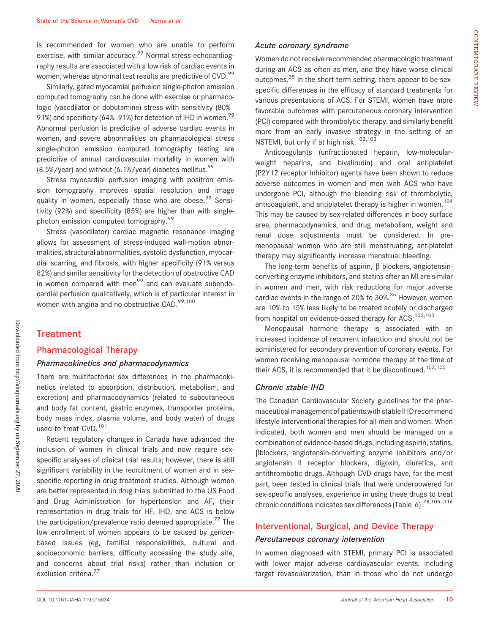is recommended for women who are unable to perform exercise, with similar accuracy.<sup>99</sup> Normal stress echocardiography results are associated with a low risk of cardiac events in women, whereas abnormal test results are predictive of CVD.<sup>99</sup>

Similarly, gated myocardial perfusion single-photon emission computed tomography can be done with exercise or pharmacologic (vasodilator or dobutamine) stress with sensitivity (80%– 91%) and specificity (64%–91%) for detection of IHD in women.<sup>99</sup> Abnormal perfusion is predictive of adverse cardiac events in women, and severe abnormalities on pharmacological stress single-photon emission computed tomography testing are predictive of annual cardiovascular mortality in women with  $(8.5\%/year)$  and without  $(6.1\%/year)$  diabetes mellitus.<sup>99</sup>

Stress myocardial perfusion imaging with positron emission tomography improves spatial resolution and image quality in women, especially those who are obese.<sup>99</sup> Sensitivity (92%) and specificity (85%) are higher than with singlephoton emission computed tomography.<sup>99</sup>

Stress (vasodilator) cardiac magnetic resonance imaging allows for assessment of stress-induced wall-motion abnormalities, structural abnormalities, systolic dysfunction, myocardial scarring, and fibrosis, with higher specificity (91% versus 82%) and similar sensitivity for the detection of obstructive CAD in women compared with men $99$  and can evaluate subendocardial perfusion qualitatively, which is of particular interest in women with angina and no obstructive CAD.<sup>99,100</sup>

## **Treatment**

#### Pharmacological Therapy

#### Pharmacokinetics and pharmacodynamics

There are multifactorial sex differences in the pharmacokinetics (related to absorption, distribution, metabolism, and excretion) and pharmacodynamics (related to subcutaneous and body fat content, gastric enzymes, transporter proteins, body mass index, plasma volume, and body water) of drugs used to treat CVD.<sup>101</sup>

Recent regulatory changes in Canada have advanced the inclusion of women in clinical trials and now require sexspecific analyses of clinical trial results; however, there is still significant variability in the recruitment of women and in sexspecific reporting in drug treatment studies. Although women are better represented in drug trials submitted to the US Food and Drug Administration for hypertension and AF, their representation in drug trials for HF, IHD, and ACS is below the participation/prevalence ratio deemed appropriate.<sup>77</sup> The low enrollment of women appears to be caused by genderbased issues (eg, familial responsibilities, cultural and socioeconomic barriers, difficulty accessing the study site, and concerns about trial risks) rather than inclusion or exclusion criteria.<sup>77</sup>

#### Acute coronary syndrome

Women do not receive recommended pharmacologic treatment during an ACS as often as men, and they have worse clinical outcomes.<sup>35</sup> In the short-term setting, there appear to be sexspecific differences in the efficacy of standard treatments for various presentations of ACS. For STEMI, women have more favorable outcomes with percutaneous coronary intervention (PCI) compared with thrombolytic therapy, and similarly benefit more from an early invasive strategy in the setting of an NSTEMI, but only if at high risk.<sup>102,103</sup>

Anticoagulants (unfractionated heparin, low-molecularweight heparins, and bivalirudin) and oral antiplatelet (P2Y12 receptor inhibitor) agents have been shown to reduce adverse outcomes in women and men with ACS who have undergone PCI, although the bleeding risk of thrombolytic, anticoagulant, and antiplatelet therapy is higher in women.<sup>104</sup> This may be caused by sex-related differences in body surface area, pharmacodynamics, and drug metabolism; weight and renal dose adjustments must be considered. In premenopausal women who are still menstruating, antiplatelet therapy may significantly increase menstrual bleeding.

The long-term benefits of aspirin,  $\beta$  blockers, angiotensinconverting enzyme inhibitors, and statins after an MI are similar in women and men, with risk reductions for major adverse cardiac events in the range of 20% to 30%.<sup>35</sup> However, women are 10% to 15% less likely to be treated acutely or discharged from hospital on evidence-based therapy for ACS.<sup>102,103</sup>

Menopausal hormone therapy is associated with an increased incidence of recurrent infarction and should not be administered for secondary prevention of coronary events. For women receiving menopausal hormone therapy at the time of their ACS, it is recommended that it be discontinued.<sup>102,103</sup>

## Chronic stable IHD

The Canadian Cardiovascular Society guidelines for the pharmaceutical management of patientswith stable IHD recommend lifestyle interventional therapies for all men and women. When indicated, both women and men should be managed on a combination of evidence-based drugs, including aspirin, statins, bblockers, angiotensin-converting enzyme inhibitors and/or angiotensin II receptor blockers, digoxin, diuretics, and antithrombotic drugs. Although CVD drugs have, for the most part, been tested in clinical trials that were underpowered for sex-specific analyses, experience in using these drugs to treat chronic conditions indicates sex differences (Table 6).<sup>78,105-116</sup>

## Interventional, Surgical, and Device Therapy

#### Percutaneous coronary intervention

In women diagnosed with STEMI, primary PCI is associated with lower major adverse cardiovascular events, including target revascularization, than in those who do not undergo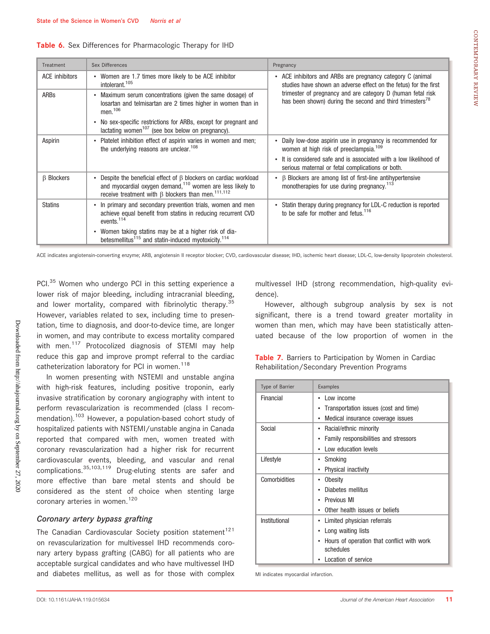|                | Table 6. Sex Differences for Pharmacologic Therapy for IHD                                                                              |                                                                                                 |
|----------------|-----------------------------------------------------------------------------------------------------------------------------------------|-------------------------------------------------------------------------------------------------|
| Treatment      | Sex Differences                                                                                                                         | Pregnancy                                                                                       |
| ACE inhibitors | Women are 1.7 times more likely to be ACE inhibitor<br>$\bullet$<br>intolerant. <sup>105</sup>                                          | • ACE inhibitors and ARBs are pregnancy<br>studies have shown an adverse effect o               |
| ARBs           | • Maximum serum concentrations (given the same dosage) of<br>losartan and telmisartan are 2 times higher in women than in<br>men. $106$ | trimester of pregnancy and are categor<br>has been shown) during the second an                  |
|                | • No sex-specific restrictions for ARBs, except for pregnant and<br>lactating women <sup>107</sup> (see box below on pregnancy).        |                                                                                                 |
| Aspirin        | • Platelet inhibition effect of aspirin varies in women and men;<br>the underlying reasons are unclear. <sup>108</sup>                  | • Daily low-dose aspirin use in pregnanct<br>women at high risk of preeclampsia. <sup>109</sup> |

| ACE inhibitors    | Women are 1.7 times more likely to be ACE inhibitor<br>intolerant. <sup>105</sup>                                                                                                                                           | ACE inhibitors and ARBs are pregnancy category C (animal<br>studies have shown an adverse effect on the fetus) for the first<br>trimester of pregnancy and are category D (human fetal risk<br>has been shown) during the second and third trimesters <sup>78</sup> |  |  |  |
|-------------------|-----------------------------------------------------------------------------------------------------------------------------------------------------------------------------------------------------------------------------|---------------------------------------------------------------------------------------------------------------------------------------------------------------------------------------------------------------------------------------------------------------------|--|--|--|
| ARBs              | Maximum serum concentrations (given the same dosage) of<br>$\bullet$<br>losartan and telmisartan are 2 times higher in women than in<br>men. $106$                                                                          |                                                                                                                                                                                                                                                                     |  |  |  |
|                   | • No sex-specific restrictions for ARBs, except for pregnant and<br>lactating women <sup>107</sup> (see box below on pregnancy).                                                                                            |                                                                                                                                                                                                                                                                     |  |  |  |
| Aspirin           | • Platelet inhibition effect of aspirin varies in women and men;<br>the underlying reasons are unclear. <sup>108</sup>                                                                                                      | • Daily low-dose aspirin use in pregnancy is recommended for<br>women at high risk of preeclampsia. <sup>109</sup>                                                                                                                                                  |  |  |  |
|                   |                                                                                                                                                                                                                             | • It is considered safe and is associated with a low likelihood of<br>serious maternal or fetal complications or both.                                                                                                                                              |  |  |  |
| <b>B</b> Blockers | Despite the beneficial effect of $\beta$ blockers on cardiac workload<br>٠<br>and myocardial oxygen demand, <sup>110</sup> women are less likely to<br>receive treatment with $\beta$ blockers than men. <sup>111,112</sup> | $\bullet$ $\beta$ Blockers are among list of first-line antihypertensive<br>monotherapies for use during pregnancy. <sup>113</sup>                                                                                                                                  |  |  |  |
| <b>Statins</b>    | In primary and secondary prevention trials, women and men<br>$\bullet$<br>achieve equal benefit from statins in reducing recurrent CVD<br>events. <sup>114</sup>                                                            | Statin therapy during pregnancy for LDL-C reduction is reported<br>to be safe for mother and fetus. <sup>116</sup>                                                                                                                                                  |  |  |  |
|                   | Women taking statins may be at a higher risk of dia-<br>$\bullet$<br>betesmellitus <sup>115</sup> and statin-induced myotoxicity. <sup>114</sup>                                                                            |                                                                                                                                                                                                                                                                     |  |  |  |

ACE indicates angiotensin-converting enzyme; ARB, angiotensin II receptor blocker; CVD, cardiovascular disease; IHD, ischemic heart disease; LDL-C, low-density lipoprotein cholesterol.

PCI.<sup>35</sup> Women who undergo PCI in this setting experience a lower risk of major bleeding, including intracranial bleeding, and lower mortality, compared with fibrinolytic therapy.<sup>35</sup> However, variables related to sex, including time to presentation, time to diagnosis, and door-to-device time, are longer in women, and may contribute to excess mortality compared with men.<sup>117</sup> Protocolized diagnosis of STEMI may help reduce this gap and improve prompt referral to the cardiac catheterization laboratory for PCI in women.<sup>118</sup>

In women presenting with NSTEMI and unstable angina with high-risk features, including positive troponin, early invasive stratification by coronary angiography with intent to perform revascularization is recommended (class I recommendation).<sup>103</sup> However, a population-based cohort study of hospitalized patients with NSTEMI/unstable angina in Canada reported that compared with men, women treated with coronary revascularization had a higher risk for recurrent cardiovascular events, bleeding, and vascular and renal complications.35,103,119 Drug-eluting stents are safer and more effective than bare metal stents and should be considered as the stent of choice when stenting large coronary arteries in women.<sup>120</sup>

## Coronary artery bypass grafting

The Canadian Cardiovascular Society position statement<sup>121</sup> on revascularization for multivessel IHD recommends coronary artery bypass grafting (CABG) for all patients who are acceptable surgical candidates and who have multivessel IHD and diabetes mellitus, as well as for those with complex multivessel IHD (strong recommendation, high-quality evidence).

However, although subgroup analysis by sex is not significant, there is a trend toward greater mortality in women than men, which may have been statistically attenuated because of the low proportion of women in the

|  | <b>Table 7.</b> Barriers to Participation by Women in Cardiac |  |  |  |  |
|--|---------------------------------------------------------------|--|--|--|--|
|  | Rehabilitation/Secondary Prevention Programs                  |  |  |  |  |

| Type of Barrier | Examples                                                |
|-----------------|---------------------------------------------------------|
| Financial       | Low income<br>٠                                         |
|                 | Transportation issues (cost and time)<br>٠              |
|                 | Medical insurance coverage issues                       |
| Social          | Racial/ethnic minority<br>٠                             |
|                 | Family responsibilities and stressors                   |
|                 | Low education levels                                    |
| Lifestyle       | Smoking<br>$\bullet$                                    |
|                 | Physical inactivity                                     |
| Comorbidities   | <b>Obesity</b>                                          |
|                 | Diabetes mellitus<br>٠                                  |
|                 | Previous MI<br>٠                                        |
|                 | Other health issues or beliefs                          |
| Institutional   | Limited physician referrals<br>٠                        |
|                 | Long waiting lists                                      |
|                 | Hours of operation that conflict with work<br>schedules |
|                 | Location of service                                     |

MI indicates myocardial infarction.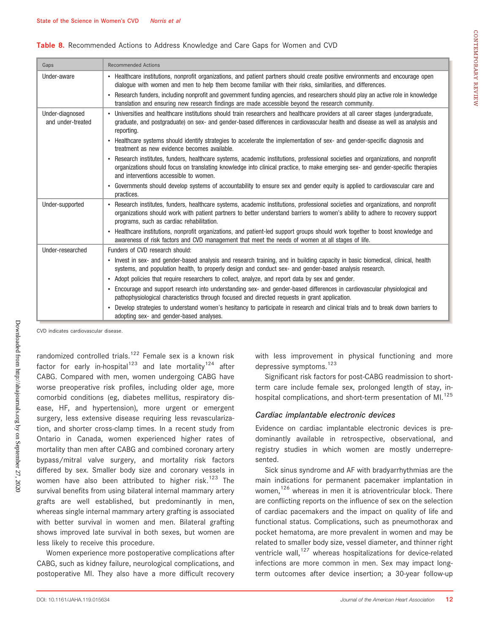| Gaps                                 | <b>Recommended Actions</b>                                                                                                                                                                                                                                                                                        |
|--------------------------------------|-------------------------------------------------------------------------------------------------------------------------------------------------------------------------------------------------------------------------------------------------------------------------------------------------------------------|
| Under-aware                          | • Healthcare institutions, nonprofit organizations, and patient partners should create positive environments and encourage open<br>dialogue with women and men to help them become familiar with their risks, similarities, and differences.                                                                      |
|                                      | • Research funders, including nonprofit and government funding agencies, and researchers should play an active role in knowledge<br>translation and ensuring new research findings are made accessible beyond the research community.                                                                             |
| Under-diagnosed<br>and under-treated | • Universities and healthcare institutions should train researchers and healthcare providers at all career stages (undergraduate,<br>graduate, and postgraduate) on sex- and gender-based differences in cardiovascular health and disease as well as analysis and<br>reporting.                                  |
|                                      | • Healthcare systems should identify strategies to accelerate the implementation of sex- and gender-specific diagnosis and<br>treatment as new evidence becomes available.                                                                                                                                        |
|                                      | • Research institutes, funders, healthcare systems, academic institutions, professional societies and organizations, and nonprofit<br>organizations should focus on translating knowledge into clinical practice, to make emerging sex- and gender-specific therapies<br>and interventions accessible to women.   |
|                                      | • Governments should develop systems of accountability to ensure sex and gender equity is applied to cardiovascular care and<br>practices.                                                                                                                                                                        |
| Under-supported                      | • Research institutes, funders, healthcare systems, academic institutions, professional societies and organizations, and nonprofit<br>organizations should work with patient partners to better understand barriers to women's ability to adhere to recovery support<br>programs, such as cardiac rehabilitation. |
|                                      | • Healthcare institutions, nonprofit organizations, and patient-led support groups should work together to boost knowledge and<br>awareness of risk factors and CVD management that meet the needs of women at all stages of life.                                                                                |
| Under-researched                     | Funders of CVD research should:                                                                                                                                                                                                                                                                                   |
|                                      | • Invest in sex- and gender-based analysis and research training, and in building capacity in basic biomedical, clinical, health<br>systems, and population health, to properly design and conduct sex- and gender-based analysis research.                                                                       |
|                                      | • Adopt policies that require researchers to collect, analyze, and report data by sex and gender.                                                                                                                                                                                                                 |
|                                      | • Encourage and support research into understanding sex- and gender-based differences in cardiovascular physiological and<br>pathophysiological characteristics through focused and directed requests in grant application.                                                                                       |
|                                      | • Develop strategies to understand women's hesitancy to participate in research and clinical trials and to break down barriers to<br>adopting sex- and gender-based analyses.                                                                                                                                     |

#### Table 8. Recommended Actions to Address Knowledge and Care Gaps for Women and CVD

CVD indicates cardiovascular disease.

randomized controlled trials.<sup>122</sup> Female sex is a known risk factor for early in-hospital<sup>123</sup> and late mortality<sup>124</sup> after CABG. Compared with men, women undergoing CABG have worse preoperative risk profiles, including older age, more comorbid conditions (eg, diabetes mellitus, respiratory disease, HF, and hypertension), more urgent or emergent surgery, less extensive disease requiring less revascularization, and shorter cross-clamp times. In a recent study from Ontario in Canada, women experienced higher rates of mortality than men after CABG and combined coronary artery bypass/mitral valve surgery, and mortality risk factors differed by sex. Smaller body size and coronary vessels in women have also been attributed to higher risk.<sup>123</sup> The survival benefits from using bilateral internal mammary artery grafts are well established, but predominantly in men, whereas single internal mammary artery grafting is associated with better survival in women and men. Bilateral grafting shows improved late survival in both sexes, but women are less likely to receive this procedure.

Women experience more postoperative complications after CABG, such as kidney failure, neurological complications, and postoperative MI. They also have a more difficult recovery with less improvement in physical functioning and more depressive symptoms.<sup>123</sup>

Significant risk factors for post-CABG readmission to shortterm care include female sex, prolonged length of stay, inhospital complications, and short-term presentation of MI.<sup>125</sup>

#### Cardiac implantable electronic devices

Evidence on cardiac implantable electronic devices is predominantly available in retrospective, observational, and registry studies in which women are mostly underrepresented.

Sick sinus syndrome and AF with bradyarrhythmias are the main indications for permanent pacemaker implantation in women,<sup>126</sup> whereas in men it is atrioventricular block. There are conflicting reports on the influence of sex on the selection of cardiac pacemakers and the impact on quality of life and functional status. Complications, such as pneumothorax and pocket hematoma, are more prevalent in women and may be related to smaller body size, vessel diameter, and thinner right ventricle wall, $127$  whereas hospitalizations for device-related infections are more common in men. Sex may impact longterm outcomes after device insertion; a 30-year follow-up

Downloaded from http://ahajournals.org by on September 27, 2020

Downloaded from http://ahajournals.org by on September 27, 2020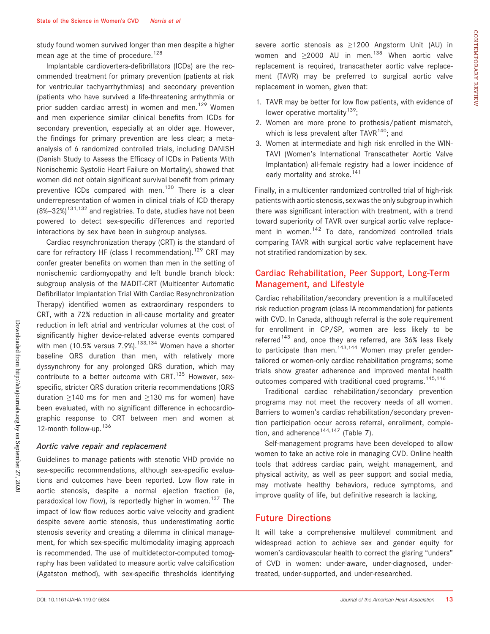study found women survived longer than men despite a higher mean age at the time of procedure.<sup>128</sup>

Implantable cardioverters-defibrillators (ICDs) are the recommended treatment for primary prevention (patients at risk for ventricular tachyarrhythmias) and secondary prevention (patients who have survived a life-threatening arrhythmia or prior sudden cardiac arrest) in women and men.<sup>129</sup> Women and men experience similar clinical benefits from ICDs for secondary prevention, especially at an older age. However, the findings for primary prevention are less clear; a metaanalysis of 6 randomized controlled trials, including DANISH (Danish Study to Assess the Efficacy of ICDs in Patients With Nonischemic Systolic Heart Failure on Mortality), showed that women did not obtain significant survival benefit from primary preventive ICDs compared with men.<sup>130</sup> There is a clear underrepresentation of women in clinical trials of ICD therapy  $(8\%-32\%)$ <sup>131,132</sup> and registries. To date, studies have not been powered to detect sex-specific differences and reported interactions by sex have been in subgroup analyses.

Cardiac resynchronization therapy (CRT) is the standard of care for refractory HF (class I recommendation).<sup>129</sup> CRT may confer greater benefits on women than men in the setting of nonischemic cardiomyopathy and left bundle branch block: subgroup analysis of the MADIT-CRT (Multicenter Automatic Defibrillator Implantation Trial With Cardiac Resynchronization Therapy) identified women as extraordinary responders to CRT, with a 72% reduction in all-cause mortality and greater reduction in left atrial and ventricular volumes at the cost of significantly higher device-related adverse events compared with men (10.5% versus  $7.9\%$ ).<sup>133,134</sup> Women have a shorter baseline QRS duration than men, with relatively more dyssynchrony for any prolonged QRS duration, which may contribute to a better outcome with CRT. $135$  However, sexspecific, stricter QRS duration criteria recommendations (QRS duration ≥140 ms for men and ≥130 ms for women) have been evaluated, with no significant difference in echocardiographic response to CRT between men and women at 12-month follow-up.<sup>136</sup>

#### Aortic valve repair and replacement

Guidelines to manage patients with stenotic VHD provide no sex-specific recommendations, although sex-specific evaluations and outcomes have been reported. Low flow rate in aortic stenosis, despite a normal ejection fraction (ie, paradoxical low flow), is reportedly higher in women.<sup>137</sup> The impact of low flow reduces aortic valve velocity and gradient despite severe aortic stenosis, thus underestimating aortic stenosis severity and creating a dilemma in clinical management, for which sex-specific multimodality imaging approach is recommended. The use of multidetector-computed tomography has been validated to measure aortic valve calcification (Agatston method), with sex-specific thresholds identifying severe aortic stenosis as ≥1200 Angstorm Unit (AU) in women and  $\geq$ 2000 AU in men.<sup>138</sup> When aortic valve replacement is required, transcatheter aortic valve replacement (TAVR) may be preferred to surgical aortic valve replacement in women, given that:

- 1. TAVR may be better for low flow patients, with evidence of lower operative mortality<sup>139</sup>;
- 2. Women are more prone to prothesis/patient mismatch, which is less prevalent after TAVR $140$ ; and
- 3. Women at intermediate and high risk enrolled in the WIN-TAVI (Women's International Transcatheter Aortic Valve Implantation) all-female registry had a lower incidence of early mortality and stroke.<sup>141</sup>

Finally, in a multicenter randomized controlled trial of high-risk patients with aortic stenosis, sex was the only subgroup in which there was significant interaction with treatment, with a trend toward superiority of TAVR over surgical aortic valve replacement in women.<sup>142</sup> To date, randomized controlled trials comparing TAVR with surgical aortic valve replacement have not stratified randomization by sex.

## Cardiac Rehabilitation, Peer Support, Long-Term Management, and Lifestyle

Cardiac rehabilitation/secondary prevention is a multifaceted risk reduction program (class IA recommendation) for patients with CVD. In Canada, although referral is the sole requirement for enrollment in CP/SP, women are less likely to be referred<sup>143</sup> and, once they are referred, are  $36\%$  less likely to participate than men.<sup>143,144</sup> Women may prefer gendertailored or women-only cardiac rehabilitation programs; some trials show greater adherence and improved mental health outcomes compared with traditional coed programs.<sup>145,146</sup>

Traditional cardiac rehabilitation/secondary prevention programs may not meet the recovery needs of all women. Barriers to women's cardiac rehabilitation/secondary prevention participation occur across referral, enrollment, completion, and adherence<sup>144,147</sup> (Table 7).

Self-management programs have been developed to allow women to take an active role in managing CVD. Online health tools that address cardiac pain, weight management, and physical activity, as well as peer support and social media, may motivate healthy behaviors, reduce symptoms, and improve quality of life, but definitive research is lacking.

#### Future Directions

It will take a comprehensive multilevel commitment and widespread action to achieve sex and gender equity for women's cardiovascular health to correct the glaring "unders" of CVD in women: under-aware, under-diagnosed, undertreated, under-supported, and under-researched.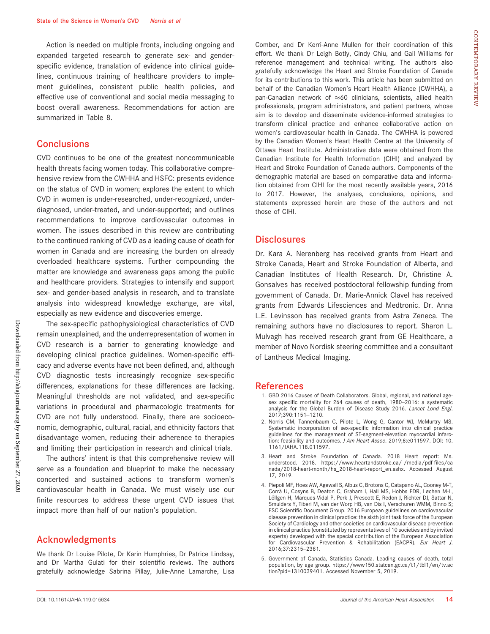#### **Conclusions**

CVD continues to be one of the greatest noncommunicable health threats facing women today. This collaborative comprehensive review from the CWHHA and HSFC: presents evidence on the status of CVD in women; explores the extent to which CVD in women is under-researched, under-recognized, underdiagnosed, under-treated, and under-supported; and outlines recommendations to improve cardiovascular outcomes in women. The issues described in this review are contributing to the continued ranking of CVD as a leading cause of death for women in Canada and are increasing the burden on already overloaded healthcare systems. Further compounding the matter are knowledge and awareness gaps among the public and healthcare providers. Strategies to intensify and support sex- and gender-based analysis in research, and to translate analysis into widespread knowledge exchange, are vital, especially as new evidence and discoveries emerge.

The sex-specific pathophysiological characteristics of CVD remain unexplained, and the underrepresentation of women in CVD research is a barrier to generating knowledge and developing clinical practice guidelines. Women-specific efficacy and adverse events have not been defined, and, although CVD diagnostic tests increasingly recognize sex-specific differences, explanations for these differences are lacking. Meaningful thresholds are not validated, and sex-specific variations in procedural and pharmacologic treatments for CVD are not fully understood. Finally, there are socioeconomic, demographic, cultural, racial, and ethnicity factors that disadvantage women, reducing their adherence to therapies and limiting their participation in research and clinical trials.

The authors' intent is that this comprehensive review will serve as a foundation and blueprint to make the necessary concerted and sustained actions to transform women's cardiovascular health in Canada. We must wisely use our finite resources to address these urgent CVD issues that impact more than half of our nation's population.

## Acknowledgments

Downloaded from http://ahajournals.org by on September 27, 2020

Downloaded from http://ahajournals.org by on September 27, 2020

We thank Dr Louise Pilote, Dr Karin Humphries, Dr Patrice Lindsay, and Dr Martha Gulati for their scientific reviews. The authors gratefully acknowledge Sabrina Pillay, Julie-Anne Lamarche, Lisa Comber, and Dr Kerri-Anne Mullen for their coordination of this effort. We thank Dr Leigh Botly, Cindy Chiu, and Gail Williams for reference management and technical writing. The authors also gratefully acknowledge the Heart and Stroke Foundation of Canada for its contributions to this work. This article has been submitted on behalf of the Canadian Women's Heart Health Alliance (CWHHA), a pan-Canadian network of  $\approx$ 60 clinicians, scientists, allied health professionals, program administrators, and patient partners, whose aim is to develop and disseminate evidence-informed strategies to transform clinical practice and enhance collaborative action on women's cardiovascular health in Canada. The CWHHA is powered by the Canadian Women's Heart Health Centre at the University of Ottawa Heart Institute. Administrative data were obtained from the Canadian Institute for Health Information (CIHI) and analyzed by Heart and Stroke Foundation of Canada authors. Components of the demographic material are based on comparative data and information obtained from CIHI for the most recently available years, 2016 to 2017. However, the analyses, conclusions, opinions, and statements expressed herein are those of the authors and not those of CIHI.

#### **Disclosures**

Dr. Kara A. Nerenberg has received grants from Heart and Stroke Canada, Heart and Stroke Foundation of Alberta, and Canadian Institutes of Health Research. Dr, Christine A. Gonsalves has received postdoctoral fellowship funding from government of Canada. Dr. Marie-Annick Clavel has received grants from Edwards Lifesciences and Medtronic. Dr. Anna L.E. Levinsson has received grants from Astra Zeneca. The remaining authors have no disclosures to report. Sharon L. Mulvagh has received research grant from GE Healthcare, a member of Novo Nordisk steering committee and a consultant of Lantheus Medical Imaging.

#### References

- 1. GBD 2016 Causes of Death Collaborators. Global, regional, and national agesex specific mortality for 264 causes of death, 1980–2016: a systematic analysis for the Global Burden of Disease Study 2016. Lancet Lond Engl. 2017;390:1151–1210.
- 2. Norris CM, Tannenbaum C, Pilote L, Wong G, Cantor WJ, McMurtry MS. Systematic incorporation of sex-specific information into clinical practice guidelines for the management of ST-segment-elevation myocardial infarction: feasibility and outcomes. J Am Heart Assoc. 2019;8:e011597. DOI: [10.](https://doi.org/10.1161/JAHA.118.011597) [1161/JAHA.118.011597.](https://doi.org/10.1161/JAHA.118.011597)
- 3. Heart and Stroke Foundation of Canada. 2018 Heart report: Ms. understood. 2018. [https://www.heartandstroke.ca/-/media/pdf-](https://www.heartandstroke.ca/-/media/pdf-files/canada/2018-heart-month/hs_2018-heart-report_en.ashx)files/ca [nada/2018-heart-month/hs\\_2018-heart-report\\_en.ashx.](https://www.heartandstroke.ca/-/media/pdf-files/canada/2018-heart-month/hs_2018-heart-report_en.ashx) Accessed August 17, 2019.
- 4. Piepoli MF, Hoes AW, Agewall S, Albus C, Brotons C, Catapano AL, Cooney M-T, Corrà U, Cosyns B, Deaton C, Graham I, Hall MS, Hobbs FDR, Løchen M-L, Löllgen H, Marques-Vidal P, Perk J, Prescott E, Redon J, Richter DJ, Sattar N, Smulders Y, Tiberi M, van der Worp HB, van Dis I, Verschuren WMM, Binno S; ESC Scientific Document Group. 2016 European guidelines on cardiovascular disease prevention in clinical practice: the sixth joint task force of the European Society of Cardiology and other societies on cardiovascular disease prevention in clinical practice (constituted by representatives of 10 societies and by invited experts) developed with the special contribution of the European Association for Cardiovascular Prevention & Rehabilitation (EACPR). Eur Heart J. 2016;37:2315–2381.
- 5. Government of Canada, Statistics Canada. Leading causes of death, total population, by age group. [https://www150.statcan.gc.ca/t1/tbl1/en/tv.ac](https://www150.statcan.gc.ca/t1/tbl1/en/tv.action?pid=1310039401) [tion?pid=1310039401](https://www150.statcan.gc.ca/t1/tbl1/en/tv.action?pid=1310039401). Accessed November 5, 2019.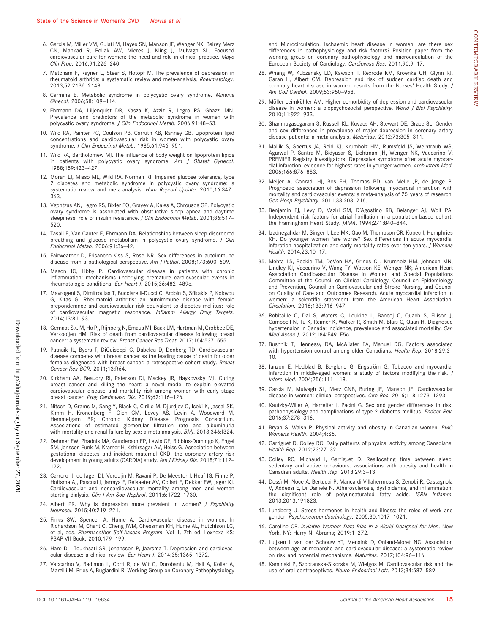- 6. Garcia M, Miller VM, Gulati M, Hayes SN, Manson JE, Wenger NK, Bairey Merz CN, Mankad R, Pollak AW, Mieres J, Kling J, Mulvagh SL. Focused cardiovascular care for women: the need and role in clinical practice. Mayo Clin Proc. 2016;91:226–240.
- 7. Matcham F, Rayner L, Steer S, Hotopf M. The prevalence of depression in rheumatoid arthritis: a systematic review and meta-analysis. Rheumatology. 2013;52:2136–2148.
- 8. Carmina E. Metabolic syndrome in polycystic ovary syndrome. Minerva Ginecol. 2006;58:109–114.
- 9. Ehrmann DA, Liljenquist DR, Kasza K, Azziz R, Legro RS, Ghazzi MN. Prevalence and predictors of the metabolic syndrome in women with polycystic ovary syndrome. J Clin Endocrinol Metab. 2006;91:48–53.
- 10. Wild RA, Painter PC, Coulson PB, Carruth KB, Ranney GB. Lipoprotein lipid concentrations and cardiovascular risk in women with polycystic ovary syndrome. J Clin Endocrinol Metab. 1985;61:946-951.
- 11. Wild RA, Bartholomew MJ. The influence of body weight on lipoprotein lipids in patients with polycystic ovary syndrome. Am J Obstet Gynecol. 1988;159:423–427.
- 12. Moran LJ, Misso ML, Wild RA, Norman RJ. Impaired glucose tolerance, type 2 diabetes and metabolic syndrome in polycystic ovary syndrome: a systematic review and meta-analysis. Hum Reprod Update. 2010;16:347-363.
- 13. Vgontzas AN, Legro RS, Bixler EO, Grayev A, Kales A, Chrousos GP. Polycystic ovary syndrome is associated with obstructive sleep apnea and daytime sleepiness: role of insulin resistance. J Clin Endocrinol Metab. 2001;86:517-520.
- 14. Tasali E, Van Cauter E, Ehrmann DA. Relationships between sleep disordered breathing and glucose metabolism in polycystic ovary syndrome. J Clin Endocrinol Metab. 2006;91:36–42.
- 15. Fairweather D, Frisancho-Kiss S, Rose NR. Sex differences in autoimmune disease from a pathological perspective. Am J Pathol. 2008;173:600-609.
- 16. Mason JC, Libby P. Cardiovascular disease in patients with chronic inflammation: mechanisms underlying premature cardiovascular events in rheumatologic conditions. Eur Heart J. 2015;36:482–489c.
- 17. Mavrogeni S, Dimitroulas T, Bucciarelli-Ducci C, Ardoin S, Sfikakis P, Kolovou G, Kitas G. Rheumatoid arthritis: an autoimmune disease with female preponderance and cardiovascular risk equivalent to diabetes mellitus: role of cardiovascular magnetic resonance. Inflamm Allergy Drug Targets. 2014;13:81–93.
- 18. Gernaat S A. M, Ho PJ, Rijnberg N, Emaus MJ, Baak LM, Hartman M, Grobbee DE, Verkooijen HM. Risk of death from cardiovascular disease following breast cancer: a systematic review. Breast Cancer Res Treat. 2017;164:537-555.
- 19. Patnaik JL, Byers T, DiGuiseppi C, Dabelea D, Denberg TD. Cardiovascular disease competes with breast cancer as the leading cause of death for older females diagnosed with breast cancer: a retrospective cohort study. Breast Cancer Res BCR. 2011;13:R64.
- 20. Kirkham AA, Beaudry RI, Paterson DI, Mackey JR, Haykowsky MJ. Curing breast cancer and killing the heart: a novel model to explain elevated cardiovascular disease and mortality risk among women with early stage breast cancer. Prog Cardiovasc Dis. 2019;62:116–126.
- 21. Nitsch D, Grams M, Sang Y, Black C, Cirillo M, Djurdjev O, Iseki K, Jassal SK, Kimm H, Kronenberg F, Oien CM, Levey AS, Levin A, Woodward M, Hemmelgarn BR; Chronic Kidney Disease Prognosis Consortium. Associations of estimated glomerular filtration rate and albuminuria with mortality and renal failure by sex: a meta-analysis. BMJ. 2013;346:f324.
- 22. Dehmer EW, Phadnis MA, Gunderson EP, Lewis CE, Bibbins-Domingo K, Engel SM, Jonsson Funk M, Kramer H, Kshirsagar AV, Heiss G. Association between gestational diabetes and incident maternal CKD: the coronary artery risk development in young adults (CARDIA) study. Am J Kidney Dis. 2018;71:112-122.
- 23. Carrero JJ, de Jager DJ, Verduijn M, Ravani P, De Meester J, Heaf JG, Finne P, Hoitsma AJ, Pascual J, Jarraya F, Reisaeter AV, Collart F, Dekker FW, Jager KJ. Cardiovascular and noncardiovascular mortality among men and women starting dialysis. Clin J Am Soc Nephrol. 2011;6:1722-1730.
- 24. Albert PR. Why is depression more prevalent in women? J Psychiatry Neurosci. 2015;40:219–221.
- 25. Finks SW, Spencer A, Hume A. Cardiovascular disease in women. In Richardson M, Chant C, Cheng JWM, Chessman KH, Hume AL, Hutchison LC, et al, eds. Pharmacother Self-Assess Program. Vol 1. 7th ed. Lexnexa KS: PSAP-VII Book; 2010;179–199.
- 26. Hare DL, Toukhsati SR, Johansson P, Jaarsma T. Depression and cardiovascular disease: a clinical review. Eur Heart J. 2014;35:1365–1372.
- 27. Vaccarino V, Badimon L, Corti R, de Wit C, Dorobantu M, Hall A, Koller A, Marzilli M, Pries A, Bugiardini R; Working Group on Coronary Pathophysiology

and Microcirculation. Ischaemic heart disease in women: are there sex differences in pathophysiology and risk factors? Position paper from the working group on coronary pathophysiology and microcirculation of the European Society of Cardiology. Cardiovasc Res. 2011;90:9–17.

- 28. Whang W, Kubzansky LD, Kawachi I, Rexrode KM, Kroenke CH, Glynn RJ, Garan H, Albert CM. Depression and risk of sudden cardiac death and coronary heart disease in women: results from the Nurses' Health Study. J Am Coll Cardiol. 2009;53:950–958.
- 29. Möller-Leimkühler AM. Higher comorbidity of depression and cardiovascular disease in women: a biopsychosocial perspective. World J Biol Psychiatry. 2010;11:922–933.
- 30. Shanmugasegaram S, Russell KL, Kovacs AH, Stewart DE, Grace SL. Gender and sex differences in prevalence of major depression in coronary artery disease patients: a meta-analysis. Maturitas. 2012;73:305–311.
- 31. Mallik S, Spertus JA, Reid KJ, Krumholz HM, Rumsfeld JS, Weintraub WS, Agarwal P, Santra M, Bidyasar S, Lichtman JH, Wenger NK, Vaccarino V; PREMIER Registry Investigators. Depressive symptoms after acute myocardial infarction: evidence for highest rates in younger women. Arch Intern Med. 2006;166:876–883.
- 32. Meijer A, Conradi HJ, Bos EH, Thombs BD, van Melle JP, de Jonge P. Prognostic association of depression following myocardial infarction with mortality and cardiovascular events: a meta-analysis of 25 years of research. Gen Hosp Psychiatry. 2011;33:203–216.
- 33. Benjamin EJ, Levy D, Vaziri SM, D'Agostino RB, Belanger AJ, Wolf PA. Independent risk factors for atrial fibrillation in a population-based cohort: the Framingham Heart Study. JAMA. 1994;271:840–844.
- 34. Izadnegahdar M, Singer J, Lee MK, Gao M, Thompson CR, Kopec J, Humphries KH. Do younger women fare worse? Sex differences in acute myocardial infarction hospitalization and early mortality rates over ten years. J Womens Health. 2014;23:10–17.
- 35. Mehta LS, Beckie TM, DeVon HA, Grines CL, Krumholz HM, Johnson MN, Lindley KJ, Vaccarino V, Wang TY, Watson KE, Wenger NK; American Heart Association Cardiovascular Disease in Women and Special Populations Committee of the Council on Clinical Cardiology, Council on Epidemiology and Prevention, Council on Cardiovascular and Stroke Nursing, and Council on Quality of Care and Outcomes Research. Acute myocardial infarction in women: a scientific statement from the American Heart Association. Circulation. 2016;133:916–947.
- 36. Robitaille C, Dai S, Waters C, Loukine L, Bancej C, Quach S, Ellison J, Campbell N, Tu K, Reimer K, Walker R, Smith M, Blais C, Quan H. Diagnosed hypertension in Canada: incidence, prevalence and associated mortality. Can Med Assoc J. 2012;184:E49–E56.
- 37. Bushnik T, Hennessy DA, McAlister FA, Manuel DG. Factors associated with hypertension control among older Canadians. Health Rep. 2018;29:3-10.
- 38. Janzon E, Hedblad B, Berglund G, Engström G. Tobacco and myocardial infarction in middle-aged women: a study of factors modifying the risk. J Intern Med. 2004;256:111–118.
- 39. Garcia M, Mulvagh SL, Merz CNB, Buring JE, Manson JE. Cardiovascular disease in women: clinical perspectives. Circ Res. 2016;118:1273–1293.
- 40. Kautzky-Willer A, Harreiter J, Pacini G. Sex and gender differences in risk, pathophysiology and complications of type 2 diabetes mellitus. Endocr Rev. 2016;37:278–316.
- 41. Bryan S, Walsh P. Physical activity and obesity in Canadian women. BMC Womens Health. 2004;4:S6.
- 42. Garriguet D, Colley RC. Daily patterns of physical activity among Canadians. Health Rep. 2012;23:27–32.
- 43. Colley RC, Michaud I, Garriguet D. Reallocating time between sleep, sedentary and active behaviours: associations with obesity and health in Canadian adults. Health Rep. 2018;29:3–13.
- 44. Dessì M, Noce A, Bertucci P, Manca di Villahermosa S, Zenobi R, Castagnola V, Addessi E, Di Daniele N. Atherosclerosis, dyslipidemia, and inflammation: the significant role of polyunsaturated fatty acids. ISRN Inflamm. 2013;2013:191823.
- 45. Lundberg U. Stress hormones in health and illness: the roles of work and gender. Psychoneuroendocrinology. 2005;30:1017–1021.
- 46. Caroline CP. Invisible Women: Data Bias in a World Designed for Men. New York, NY: Harry N. Abrams; 2019:1–272.
- 47. Luijken J, van der Schouw YT, Mensink D, Onland-Moret NC. Association between age at menarche and cardiovascular disease: a systematic review on risk and potential mechanisms. Maturitas. 2017;104:96–116.
- 48. Kaminski P, Szpotanska-Sikorska M, Wielgos M. Cardiovascular risk and the use of oral contraceptives. Neuro Endocrinol Lett. 2013;34:587-589.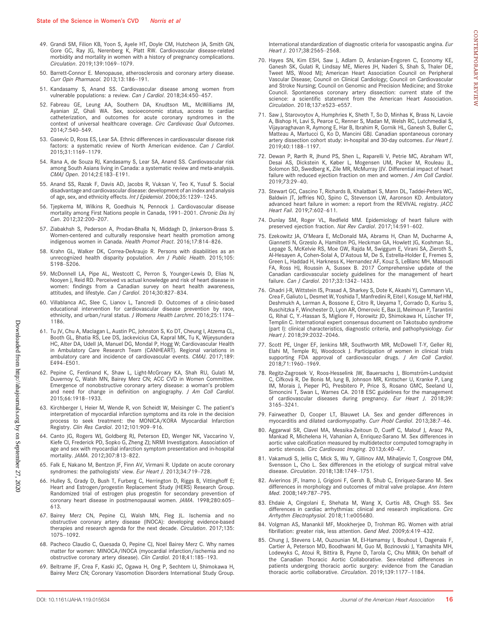- 49. Grandi SM, Filion KB, Yoon S, Ayele HT, Doyle CM, Hutcheon JA, Smith GN, Gore GC, Ray JG, Nerenberg K, Platt RW. Cardiovascular disease-related morbidity and mortality in women with a history of pregnancy complications. Circulation. 2019;139:1069–1079.
- 50. Barrett-Connor E. Menopause, atherosclerosis and coronary artery disease. Curr Opin Pharmacol. 2013;13:186–191.
- 51. Kandasamy S, Anand SS. Cardiovascular disease among women from vulnerable populations: a review. Can J Cardiol. 2018;34:450-457.
- 52. Fabreau GE, Leung AA, Southern DA, Knudtson ML, McWilliams JM, Ayanian JZ, Ghali WA. Sex, socioeconomic status, access to cardiac catheterization, and outcomes for acute coronary syndromes in the context of universal healthcare coverage. Circ Cardiovasc Qual Outcomes. 2014;7:540–549.
- 53. Gasevic D, Ross ES, Lear SA. Ethnic differences in cardiovascular disease risk factors: a systematic review of North American evidence. Can J Cardiol. 2015;31:1169–1179.
- 54. Rana A, de Souza RJ, Kandasamy S, Lear SA, Anand SS. Cardiovascular risk among South Asians living in Canada: a systematic review and meta-analysis. CMAJ Open. 2014;2:E183–E191.
- 55. Anand SS, Razak F, Davis AD, Jacobs R, Vuksan V, Teo K, Yusuf S. Social disadvantage and cardiovascular disease: development of an index and analysis of age, sex, and ethnicity effects. Int J Epidemiol. 2006;35:1239–1245.
- 56. Tjepkema M, Wilkins R, Goedhuis N, Pennock J. Cardiovascular disease mortality among First Nations people in Canada, 1991–2001. Chronic Dis Inj Can. 2012;32:200–207.
- 57. Ziabakhsh S, Pederson A, Prodan-Bhalla N, Middagh D, Jinkerson-Brass S. Women-centered and culturally responsive heart health promotion among indigenous women in Canada. Health Promot Pract. 2016;17:814-826.
- 58. Krahn GL, Walker DK, Correa-DeAraujo R. Persons with disabilities as an unrecognized health disparity population. Am J Public Health. 2015;105: S198–S206.
- 59. McDonnell LA, Pipe AL, Westcott C, Perron S, Younger-Lewis D, Elias N, Nooyen J, Reid RD. Perceived vs actual knowledge and risk of heart disease in women: findings from a Canadian survey on heart health awareness, attitudes, and lifestyle. Can J Cardiol. 2014;30:827–834.
- 60. Villablanca AC, Slee C, Lianov L, Tancredi D. Outcomes of a clinic-based educational intervention for cardiovascular disease prevention by race, ethnicity, and urban/rural status. J Womens Health Larchmt. 2016;25:1174– 1186.
- 61. Tu JV, Chu A, Maclagan L, Austin PC, Johnston S, Ko DT, Cheung I, Atzema CL, Booth GL, Bhatia RS, Lee DS, Jackevicius CA, Kapral MK, Tu K, Wijeysundera HC, Alter DA, Udell JA, Manuel DG, Mondal P, Hogg W; Cardiovascular Health in Ambulatory Care Research Team (CANHEART). Regional variations in ambulatory care and incidence of cardiovascular events. CMAJ. 2017;189: E494–E501.
- 62. Pepine C, Ferdinand K, Shaw L, Light-McGroary KA, Shah RU, Gulati M, Duvernoy C, Walsh MN, Bairey Merz CN; ACC CVD in Women Committee. Emergence of nonobstructive coronary artery disease: a woman's problem and need for change in definition on angiography. J Am Coll Cardiol. 2015;66:1918–1933.
- 63. Kirchberger I, Heier M, Wende R, von Scheidt W, Meisinger C. The patient's interpretation of myocardial infarction symptoms and its role in the decision process to seek treatment: the MONICA/KORA Myocardial Infarction Registry. Clin Res Cardiol. 2012;101:909–916.
- 64. Canto JG, Rogers WJ, Goldberg RJ, Peterson ED, Wenger NK, Vaccarino V, Kiefe CI, Frederick PD, Sopko G, Zheng ZJ; NRMI Investigators. Association of age and sex with myocardial infarction symptom presentation and in-hospital mortality. JAMA. 2012;307:813–822.
- 65. Falk E, Nakano M, Bentzon JF, Finn AV, Virmani R. Update on acute coronary syndromes: the pathologists' view. Eur Heart J. 2013;34:719-728.
- 66. Hulley S, Grady D, Bush T, Furberg C, Herrington D, Riggs B, Vittinghoff E; Heart and Estrogen/progestin Replacement Study (HERS) Research Group. Randomized trial of estrogen plus progestin for secondary prevention of coronary heart disease in postmenopausal women. JAMA. 1998;280:605– 613.
- 67. Bairey Merz CN, Pepine CJ, Walsh MN, Fleg JL. Ischemia and no obstructive coronary artery disease (INOCA): developing evidence-based therapies and research agenda for the next decade. Circulation. 2017;135: 1075–1092.
- 68. Pacheco Claudio C, Quesada O, Pepine CJ, Noel Bairey Merz C. Why names matter for women: MINOCA/INOCA (myocardial infarction/ischemia and no obstructive coronary artery disease). Clin Cardiol. 2018;41:185–193.
- 69. Beltrame JF, Crea F, Kaski JC, Ogawa H, Ong P, Sechtem U, Shimokawa H, Bairey Merz CN; Coronary Vasomotion Disorders International Study Group.

International standardization of diagnostic criteria for vasospastic angina. Eur Heart J. 2017;38:2565–2568.

- 70. Hayes SN, Kim ESH, Saw J, Adlam D, Arslanian-Engoren C, Economy KE, Ganesh SK, Gulati R, Lindsay ME, Mieres JH, Naderi S, Shah S, Thaler DE, Tweet MS, Wood MJ; American Heart Association Council on Peripheral Vascular Disease; Council on Clinical Cardiology; Council on Cardiovascular and Stroke Nursing; Council on Genomic and Precision Medicine; and Stroke Council. Spontaneous coronary artery dissection: current state of the science: a scientific statement from the American Heart Association. Circulation. 2018;137:e523–e557.
- 71. Saw J, Starovoytov A, Humphries K, Sheth T, So D, Minhas K, Brass N, Lavoie A, Bishop H, Lavi S, Pearce C, Renner S, Madan M, Welsh RC, Lutchmedial S, Vijayaraghavan R, Aymong E, Har B, Ibrahim R, Gornik HL, Ganesh S, Buller C, Matteau A, Martucci G, Ko D, Mancini GBJ. Canadian spontaneous coronary artery dissection cohort study: in-hospital and 30-day outcomes. Eur Heart J. 2019;40:1188–1197.
- 72. Dewan P, Rørth R, Jhund PS, Shen L, Raparelli V, Petrie MC, Abraham WT, Desai AS, Dickstein K, Køber L, Mogensen UM, Packer M, Rouleau JL, Solomon SD, Swedberg K, Zile MR, McMurray JJV. Differential impact of heart failure with reduced ejection fraction on men and women. J Am Coll Cardiol. 2019;73:29–40.
- 73. Stewart GC, Cascino T, Richards B, Khalatbari S, Mann DL, Taddei-Peters WC, Baldwin JT, Jeffries NO, Spino C, Stevenson LW, Aaronson KD. Ambulatory advanced heart failure in women: a report from the REVIVAL registry. JACC Heart Fail. 2019;7:602–611.
- 74. Dunlay SM, Roger VL, Redfield MM. Epidemiology of heart failure with preserved ejection fraction. Nat Rev Cardiol. 2017;14:591–602.
- 75. Ezekowitz JA, O'Meara E, McDonald MA, Abrams H, Chan M, Ducharme A, Giannetti N, Grzeslo A, Hamilton PG, Heckman GA, Howlett JG, Koshman SL, Lepage S, McKelvie RS, Moe GW, Rajda M, Swiggum E, Virani SA, Zieroth S, Al-Hesayen A, Cohen-Solal A, D'Astous M, De S, Estrella-Holder E, Fremes S, Green L, Haddad H, Harkness K, Hernandez AF, Kouz S, LeBlanc MH, Masoudi FA, Ross HJ, Roussin A, Sussex B. 2017 Comprehensive update of the Canadian cardiovascular society guidelines for the management of heart failure. Can J Cardiol. 2017;33:1342-1433.
- 76. Ghadri J-R, Wittstein IS, Prasad A, Sharkey S, Dote K, Akashi YJ, Cammann VL, Crea F, Galiuto L, Desmet W, Yoshida T, Manfredini R, Eitel I, Kosuge M, Nef HM, Deshmukh A, Lerman A, Bossone E, Citro R, Ueyama T, Corrado D, Kurisu S, Ruschitzka F, Winchester D, Lyon AR, Omerovic E, Bax JJ, Meimoun P, Tarantini G, Rihal C, Y.-Hassan S, Migliore F, Horowitz JD, Shimokawa H, Lüscher TF, Templin C. International expert consensus document on Takotsubo syndrome (part I): clinical characteristics, diagnostic criteria, and pathophysiology. Eur Heart J. 2018;39:2032–2046.
- 77. Scott PE, Unger EF, Jenkins MR, Southworth MR, McDowell T-Y, Geller RJ, Elahi M, Temple RJ, Woodcock J. Participation of women in clinical trials supporting FDA approval of cardiovascular drugs. J Am Coll Cardiol. 2018;71:1960–1969.
- 78. Regitz-Zagrosek V, Roos-Hesselink JW, Bauersachs J, Blomström-Lundqvist C, Cífková R, De Bonis M, lung B, Johnson MR, Kintscher U, Kranke P, Lang IM, Morais J, Pieper PG, Presbitero P, Price S, Rosano GMC, Seeland U, Simoncini T, Swan L, Warnes CA. 2018 ESC guidelines for the management of cardiovascular diseases during pregnancy. Eur Heart J. 2018;39: 3165–3241.
- 79. Fairweather D, Cooper LT, Blauwet LA. Sex and gender differences in myocarditis and dilated cardiomyopathy. Curr Probl Cardiol. 2013;38:7–46.
- 80. Aggarwal SR, Clavel MA, Messika-Zeitoun D, Cueff C, Malouf J, Araoz PA, Mankad R, Michelena H, Vahanian A, Enriquez-Sarano M. Sex differences in aortic valve calcification measured by multidetector computed tomography in aortic stenosis. Circ Cardiovasc Imaging. 2013;6:40–47.
- 81. Vakamudi S, Jellis C, Mick S, Wu Y, Gillinov AM, Mihaljevic T, Cosgrove DM, Svensson L, Cho L. Sex differences in the etiology of surgical mitral valve disease. Circulation. 2018;138:1749–1751.
- 82. Avierinos JF, Inamo J, Grigioni F, Gersh B, Shub C, Enriquez-Sarano M. Sex differences in morphology and outcomes of mitral valve prolapse. Ann Intern Med. 2008;149:787–795.
- 83. Ehdaie A, Cingolani E, Shehata M, Wang X, Curtis AB, Chugh SS. Sex differences in cardiac arrhythmias: clinical and research implications. Circ Arrhythm Electrophysiol. 2018;11:e005680.
- 84. Volgman AS, Manankil MF, Mookherjee D, Trohman RG. Women with atrial fibrillation: greater risk, less attention. Gend Med. 2009;6:419–432.
- 85. Chung J, Stevens L-M, Ouzounian M, El-Hamamsy I, Bouhout I, Dagenais F, Cartier A, Peterson MD, Boodhwani M, Guo M, Bozinovski J, Yamashita MH, Lodewyks C, Atoui R, Bittira B, Payne D, Tarola C, Chu MWA; On behalf of the Canadian Thoracic Aortic Collaborative. Sex-related differences in patients undergoing thoracic aortic surgery: evidence from the Canadian<br>thoracic aortic collaborative. *Circulation*. 2019;139:1177–1184.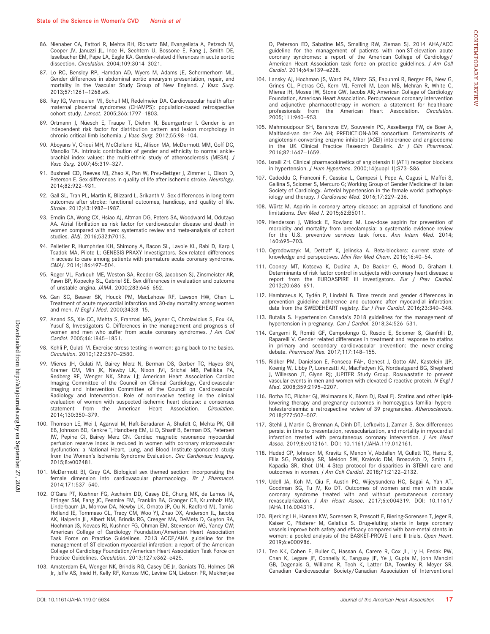- 86. Nienaber CA, Fattori R, Mehta RH, Richartz BM, Evangelista A, Petzsch M, Cooper JV, Januzzi JL, Ince H, Sechtem U, Bossone E, Fang J, Smith DE, Isselbacher EM, Pape LA, Eagle KA. Gender-related differences in acute aortic dissection. Circulation. 2004;109:3014–3021.
- 87. Lo RC, Bensley RP, Hamdan AD, Wyers M, Adams JE, Schermerhorn ML. Gender differences in abdominal aortic aneurysm presentation, repair, and mortality in the Vascular Study Group of New England. J Vasc Surg. 2013;57:1261–1268.e5.
- 88. Ray JG, Vermeulen MJ, Schull MJ, Redelmeier DA. Cardiovascular health after maternal placental syndromes (CHAMPS): population-based retrospective cohort study. Lancet. 2005;366:1797–1803.
- 89. Ortmann J, Nüesch E, Traupe T, Diehm N, Baumgartner I. Gender is an independent risk factor for distribution pattern and lesion morphology in chronic critical limb ischemia. J Vasc Surg. 2012;55:98–104.
- 90. Aboyans V, Criqui MH, McClelland RL, Allison MA, McDermott MM, Goff DC, Manolio TA. Intrinsic contribution of gender and ethnicity to normal anklebrachial index values: the multi-ethnic study of atherosclerosis (MESA). J Vasc Surg. 2007;45:319–327.
- 91. Bushnell CD, Reeves MJ, Zhao X, Pan W, Prvu-Bettger J, Zimmer L, Olson D, Peterson E. Sex differences in quality of life after ischemic stroke. Neurology. 2014;82:922–931.
- 92. Gall SL, Tran PL, Martin K, Blizzard L, Srikanth V. Sex differences in long-term outcomes after stroke: functional outcomes, handicap, and quality of life. Stroke. 2012;43:1982–1987.
- 93. Emdin CA, Wong CX, Hsiao AJ, Altman DG, Peters SA, Woodward M, Odutayo AA. Atrial fibrillation as risk factor for cardiovascular disease and death in women compared with men: systematic review and meta-analysis of cohort studies. BMJ. 2016;532:h7013.
- 94. Pelletier R, Humphries KH, Shimony A, Bacon SL, Lavoie KL, Rabi D, Karp I, Tsadok MA, Pilote L; GENESIS-PRAXY Investigators. Sex-related differences in access to care among patients with premature acute coronary syndrome. CMAJ. 2014;186:497–504.
- 95. Roger VL, Farkouh ME, Weston SA, Reeder GS, Jacobsen SJ, Zinsmeister AR, Yawn BP, Kopecky SL, Gabriel SE. Sex differences in evaluation and outcome of unstable angina. JAMA. 2000;283:646–652.
- 96. Gan SC, Beaver SK, Houck PM, MacLehose RF, Lawson HW, Chan L. Treatment of acute myocardial infarction and 30-day mortality among women and men. N Engl J Med. 2000;343:8-15.
- 97. Anand SS, Xie CC, Mehta S, Franzosi MG, Joyner C, Chrolavicius S, Fox KA, Yusuf S, Investigators C. Differences in the management and prognosis of women and men who suffer from acute coronary syndromes. J Am Coll Cardiol. 2005;46:1845–1851.
- 98. Kohli P, Gulati M. Exercise stress testing in women: going back to the basics. Circulation. 2010;122:2570–2580.
- 99. Mieres JH, Gulati M, Bairey Merz N, Berman DS, Gerber TC, Hayes SN, Kramer CM, Min JK, Newby LK, Nixon JVI, Srichai MB, Pellikka PA, Redberg RF, Wenger NK, Shaw LJ; American Heart Association Cardiac Imaging Committee of the Council on Clinical Cardiology, Cardiovascular Imaging and Intervention Committee of the Council on Cardiovascular Radiology and Intervention. Role of noninvasive testing in the clinical evaluation of women with suspected ischemic heart disease: a consensus statement from the American Heart Association. Circulation. 2014;130:350–379.
- 100. Thomson LE, Wei J, Agarwal M, Haft-Baradaran A, Shufelt C, Mehta PK, Gill EB, Johnson BD, Kenkre T, Handberg EM, Li D, Sharif B, Berman DS, Petersen JW, Pepine CJ, Bairey Merz CN. Cardiac magnetic resonance myocardial perfusion reserve index is reduced in women with coronary microvascular dysfunction: a National Heart, Lung, and Blood Institute-sponsored study from the Women's Ischemia Syndrome Evaluation. Circ Cardiovasc Imaging. 2015;8:e002481.
- 101. McDermott BJ, Gray GA. Biological sex themed section: incorporating the female dimension into cardiovascular pharmacology. Br J Pharmacol. 2014;171:537–540.
- 102. O'Gara PT, Kushner FG, Ascheim DD, Casey DE, Chung MK, de Lemos JA, Ettinger SM, Fang JC, Fesmire FM, Franklin BA, Granger CB, Krumholz HM, Linderbaum JA, Morrow DA, Newby LK, Ornato JP, Ou N, Radford MJ, Tamis-Holland JE, Tommaso CL, Tracy CM, Woo YJ, Zhao DX, Anderson JL, Jacobs AK, Halperin JL, Albert NM, Brindis RG, Creager MA, DeMets D, Guyton RA, Hochman JS, Kovacs RJ, Kushner FG, Ohman EM, Stevenson WG, Yancy CW; American College of Cardiology Foundation/American Heart Association Task Force on Practice Guidelines. 2013 ACCF/AHA guideline for the management of ST-elevation myocardial infarction: a report of the American College of Cardiology Foundation/American Heart Association Task Force on Practice Guidelines. Circulation. 2013;127:e362–e425.
- 103. Amsterdam EA, Wenger NK, Brindis RG, Casey DE Jr, Ganiats TG, Holmes DR Jr, Jaffe AS, Jneid H, Kelly RF, Kontos MC, Levine GN, Liebson PR, Mukherjee

D, Peterson ED, Sabatine MS, Smalling RW, Zieman SJ. 2014 AHA/ACC guideline for the management of patients with non-ST-elevation acute coronary syndromes: a report of the American College of Cardiology/ American Heart Association task force on practice guidelines. J Am Coll Cardiol. 2014;64:e139–e228.

- 104. Lansky AJ, Hochman JS, Ward PA, Mintz GS, Fabunmi R, Berger PB, New G, Grines CL, Pietras CG, Kern MJ, Ferrell M, Leon MB, Mehran R, White C, Mieres JH, Moses JW, Stone GW, Jacobs AK; American College of Cardiology Foundation, American Heart Association. Percutaneous coronary intervention and adjunctive pharmacotherapy in women: a statement for healthcare professionals from the American Heart Association. Circulation. 2005;111:940–953.
- 105. Mahmoudpour SH, Baranova EV, Souverein PC, Asselbergs FW, de Boer A, Maitland-van der Zee AH; PREDICTION-ADR consortium. Determinants of angiotensin-converting enzyme inhibitor (ACEI) intolerance and angioedema in the UK Clinical Practice Research Datalink. Br J Clin Pharmacol. 2016;82:1647–1659.
- 106. Israili ZH. Clinical pharmacokinetics of angiotensin II (AT1) receptor blockers in hypertension. *J Hum Hypertens*. 2000;14(suppl 1):S73-S86.
- 107. Cadeddu C, Franconi F, Cassisa L, Campesi I, Pepe A, Cugusi L, Maffei S, Gallina S, Sciomer S, Mercuro G; Working Group of Gender Medicine of Italian Society of Cardiology. Arterial hypertension in the female world: pathophysiology and therapy. J Cardiovasc Med. 2016;17:229-236.
- 108. Würtz M. Aspirin in coronary artery disease: an appraisal of functions and limitations. Dan Med J. 2015;62:B5011.
- 109. Henderson J, Witlock E, Rowland M. Low-dose aspirin for prevention of morbidity and mortality from preeclampsia: a systematic evidence review for the U.S. preventive services task force. Ann Intern Med. 2014; 160:695–703.
- 110. Ogrodowczyk M, Dettlaff K, Jelinska A. Beta-blockers: current state of knowledge and perspectives. Mini Rev Med Chem. 2016;16:40-54.
- 111. Cooney MT, Kotseva K, Dudina A, De Backer G, Wood D, Graham I. Determinants of risk factor control in subjects with coronary heart disease: a report from the EUROASPIRE III investigators. Eur J Prev Cardiol. 2013;20:686–691.
- 112. Hambraeus K, Tydén P, Lindahl B. Time trends and gender differences in prevention guideline adherence and outcome after myocardial infarction: data from the SWEDEHEART registry. Eur J Prev Cardiol. 2016;23:340–348.
- 113. Butalia S. Hypertension Canada's 2018 guidelines for the management of hypertension in pregnancy. Can J Cardiol. 2018;34:526–531.
- 114. Cangemi R, Romiti GF, Campolongo G, Ruscio E, Sciomer S, Gianfrilli D, Raparelli V. Gender related differences in treatment and response to statins in primary and secondary cardiovascular prevention: the never-ending debate. Pharmacol Res. 2017;117:148–155.
- 115. Ridker PM, Danielson E, Fonseca FAH, Genest J, Gotto AM, Kastelein JJP, Koenig W, Libby P, Lorenzatti AJ, MacFadyen JG, Nordestgaard BG, Shepherd J, Willerson JT, Glynn RJ; JUPITER Study Group. Rosuvastatin to prevent vascular events in men and women with elevated C-reactive protein. N Engl J Med. 2008;359:2195–2207.
- 116. Botha TC, Pilcher GJ, Wolmarans K, Blom DJ, Raal FJ. Statins and other lipidlowering therapy and pregnancy outcomes in homozygous familial hypercholesterolaemia: a retrospective review of 39 pregnancies. Atherosclerosis. 2018;277:502–507.
- 117. Stehli J, Martin C, Brennan A, Dinh DT, Lefkovits J, Zaman S. Sex differences persist in time to presentation, revascularization, and mortality in myocardial infarction treated with percutaneous coronary intervention. J Am Heart Assoc. 2019;8:e012161. DOI: [10.1161/JAHA.119.012161.](https://doi.org/10.1161/JAHA.119.012161)
- 118. Huded CP, Johnson M, Kravitz K, Menon V, Abdallah M, Gullett TC, Hantz S, Ellis SG, Podolsky SR, Meldon SW, Kralovic DM, Brosovich D, Smith E, Kapadia SR, Khot UN. 4-Step protocol for disparities in STEMI care and outcomes in women. J Am Coll Cardiol. 2018;71:2122–2132.
- 119. Udell JA, Koh M, Qiu F, Austin PC, Wijeysundera HC, Bagai A, Yan AT, Goodman SG, Tu JV, Ko DT. Outcomes of women and men with acute coronary syndrome treated with and without percutaneous coronary revascularization. J Am Heart Assoc. 2017;6:e004319. DOI: [10.1161/](https://doi.org/10.1161/JAHA.116.004319) [JAHA.116.004319.](https://doi.org/10.1161/JAHA.116.004319)
- 120. Bjerking LH, Hansen KW, Sorensen R, Prescott E, Biering-Sorensen T, Jeger R, Kaiser C, Pfisterer M, Galatius S. Drug-eluting stents in large coronary vessels improve both safety and efficacy compared with bare-metal stents in women: a pooled analysis of the BASKET-PROVE I and II trials. Open Heart. 2019;6:e000986.
- 121. Teo KK, Cohen E, Buller C, Hassan A, Carere R, Cox JL, Ly H, Fedak PW, Chan K, Legare JF, Connelly K, Tanguay JF, Ye J, Gupta M, John Mancini GB, Dagenais G, Williams R, Teoh K, Latter DA, Townley R, Meyer SR. Canadian Cardiovascular Society/Canadian Association of Interventional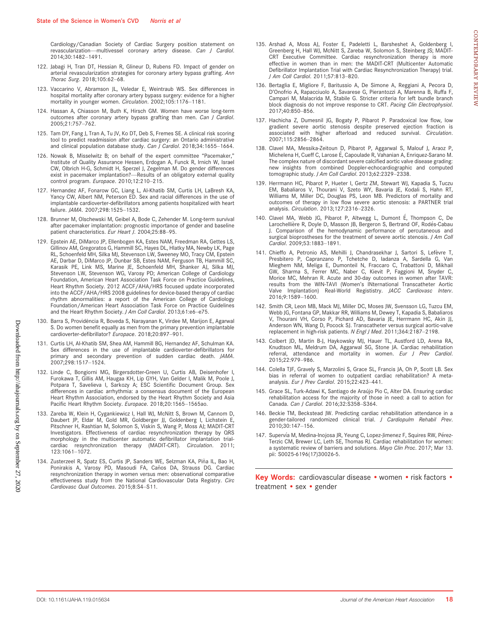Cardiology/Canadian Society of Cardiac Surgery position statement on revascularization—multivessel coronary artery disease. Can J Cardiol. 2014;30:1482–1491.

- 122. Jabagi H, Tran DT, Hessian R, Glineur D, Rubens FD. Impact of gender on arterial revascularization strategies for coronary artery bypass grafting. Ann Thorac Surg. 2018;105:62–68.
- 123. Vaccarino V, Abramson JL, Veledar E, Weintraub WS. Sex differences in hospital mortality after coronary artery bypass surgery: evidence for a higher mortality in younger women. Circulation. 2002;105:1176–1181.
- 124. Hassan A, Chiasson M, Buth K, Hirsch GM. Women have worse long-term outcomes after coronary artery bypass grafting than men. Can J Cardiol. 2005;21:757–762.
- 125. Tam DY, Fang J, Tran A, Tu JV, Ko DT, Deb S, Fremes SE. A clinical risk scoring tool to predict readmission after cardiac surgery: an Ontario administrative and clinical population database study. Can J Cardiol. 2018;34:1655-1664.
- 126. Nowak B, Misselwitz B; on behalf of the expert committee "Pacemaker," Institute of Quality Assurance Hessen, Erdogan A, Funck R, Irnich W, Israel CW, Olbrich H-G, Schmidt H, Sperzel J, Zegelman M. Do gender differences exist in pacemaker implantation?—Results of an obligatory external quality control program. Europace. 2010;12:210–215.
- 127. Hernandez AF, Fonarow GC, Liang L, Al-Khatib SM, Curtis LH, LaBresh KA, Yancy CW, Albert NM, Peterson ED. Sex and racial differences in the use of implantable cardioverter-defibrillators among patients hospitalized with heart failure. JAMA. 2007;298:1525–1532.
- 128. Brunner M, Olschewski M, Geibel A, Bode C, Zehender M. Long-term survival after pacemaker implantation: prognostic importance of gender and baseline patient characteristics. Eur Heart J. 2004;25:88-95.
- 129. Epstein AE, DiMarco JP, Ellenbogen KA, Estes NAM, Freedman RA, Gettes LS, Gillinov AM, Gregoratos G, Hammill SC, Hayes DL, Hlatky MA, Newby LK, Page RL, Schoenfeld MH, Silka MJ, Stevenson LW, Sweeney MO, Tracy CM, Epstein AE, Darbar D, DiMarco JP, Dunbar SB, Estes NAM, Ferguson TB, Hammill SC, Karasik PE, Link MS, Marine JE, Schoenfeld MH, Shanker AJ, Silka MJ, Stevenson LW, Stevenson WG, Varosy PD; American College of Cardiology Foundation, American Heart Association Task Force on Practice Guidelines, Heart Rhythm Society. 2012 ACCF/AHA/HRS focused update incorporated into the ACCF/AHA/HRS 2008 guidelines for device-based therapy of cardiac rhythm abnormalities: a report of the American College of Cardiology Foundation/American Heart Association Task Force on Practice Guidelines and the Heart Rhythm Society. J Am Coll Cardiol. 2013;61:e6-e75.
- 130. Barra S, Providência R, Boveda S, Narayanan K, Virdee M, Marijon E, Agarwal S. Do women benefit equally as men from the primary prevention implantable cardioverter-defibrillator? Europace. 2018;20:897-901.
- 131. Curtis LH, Al-Khatib SM, Shea AM, Hammill BG, Hernandez AF, Schulman KA. Sex differences in the use of implantable cardioverter-defibrillators for primary and secondary prevention of sudden cardiac death. JAMA. 2007;298:1517–1524.
- 132. Linde C, Bongiorni MG, Birgersdotter-Green U, Curtis AB, Deisenhofer I, Furokawa T, Gillis AM, Haugaa KH, Lip GYH, Van Gelder I, Malik M, Poole J, Potpara T, Savelieva I, Sarkozy A; ESC Scientific Document Group. Sex differences in cardiac arrhythmia: a consensus document of the European Heart Rhythm Association, endorsed by the Heart Rhythm Society and Asia Pacific Heart Rhythm Society. Europace. 2018;20:1565-1565ao.
- 133. Zareba W, Klein H, Cygankiewicz I, Hall WJ, McNitt S, Brown M, Cannom D, Daubert JP, Eldar M, Gold MR, Goldberger JJ, Goldenberg I, Lichstein E, Pitschner H, Rashtian M, Solomon S, Viskin S, Wang P, Moss AJ; MADIT-CRT Investigators. Effectiveness of cardiac resynchronization therapy by QRS morphology in the multicenter automatic defibrillator implantation trialcardiac resynchronization therapy (MADIT-CRT). Circulation. 2011; 123:1061–1072.
- 134. Zusterzeel R, Spatz ES, Curtis JP, Sanders WE, Selzman KA, Piña IL, Bao H,<br>Ponirakis A, Varosy PD, Masoudi FA, Caños DA, Strauss DG. Cardiac resynchronization therapy in women versus men: observational comparative effectiveness study from the National Cardiovascular Data Registry. Circ Cardiovasc Qual Outcomes. 2015;8:S4–S11.
- 135. Arshad A, Moss AJ, Foster E, Padeletti L, Barsheshet A, Goldenberg I, Greenberg H, Hall WJ, McNitt S, Zareba W, Solomon S, Steinberg JS; MADIT-CRT Executive Committee. Cardiac resynchronization therapy is more effective in women than in men: the MADIT-CRT (Multicenter Automatic Defibrillator Implantation Trial with Cardiac Resynchronization Therapy) trial. J Am Coll Cardiol. 2011;57:813–820.
- 136. Bertaglia E, Migliore F, Baritussio A, De Simone A, Reggiani A, Pecora D, D'Onofrio A, Rapacciuolo A, Savarese G, Pierantozzi A, Marenna B, Ruffa F, Campari M, Malacrida M, Stabile G. Stricter criteria for left bundle branch block diagnosis do not improve response to CRT. Pacing Clin Electrophysiol. 2017;40:850–856.
- 137. Hachicha Z, Dumesnil JG, Bogaty P, Pibarot P. Paradoxical low flow, low gradient severe aortic stenosis despite preserved ejection fraction is associated with higher afterload and reduced survival. Circulation. 2007;115:2856–2864.
- 138. Clavel MA, Messika-Zeitoun D, Pibarot P, Aggarwal S, Malouf J, Araoz P, Michelena H, Cueff C, Larose E, Capoulade R, Vahanian A, Enriquez-Sarano M. The complex nature of discordant severe calcified aortic valve disease grading: new insights from combined Doppler-echocardiographic and computed tomographic study. J Am Coll Cardiol. 2013;62:2329–2338.
- 139. Herrmann HC, Pibarot P, Hueter I, Gertz ZM, Stewart WJ, Kapadia S, Tuczu EM, Babaliaros V, Thourani V, Szeto WY, Bavaria JE, Kodali S, Hahn RT, Williams M, Miller DC, Douglas PS, Leon MB. Predictors of mortality and outcomes of therapy in low flow severe aortic stenosis: a PARTNER trial analysis. Circulation. 2013;127:2316–2326.
- 140. Clavel MA, Webb JG, Pibarot P, Altwegg L, Dumont E, Thompson C, De Larochellière R, Doyle D, Masson JB, Bergeron S, Bertrand OF, Rodés-Cabau J. Comparison of the hemodynamic performance of percutaneous and surgical bioprostheses for the treatment of severe aortic stenosis. J Am Coll Cardiol. 2009;53:1883–1891.
- 141. Chieffo A, Petronio AS, Mehilli J, Chandrasekhar J, Sartori S, Lefèvre T, Presbitero P, Capranzano P, Tchetche D, Iadanza A, Sardella G, Van Mieghem NM, Meliga E, Dumonteil N, Fraccaro C, Trabattoni D, Mikhail GW, Sharma S, Ferrer MC, Naber C, Kievit P, Faggioni M, Snyder C, Morice MC, Mehran R. Acute and 30-day outcomes in women after TAVR: results from the WIN-TAVI (Women's INternational Transcatheter Aortic Valve Implantation) Real-World Regististry. JACC Cardiovasc Interv. 2016;9:1589–1600.
- 142. Smith CR, Leon MB, Mack MJ, Miller DC, Moses JW, Svensson LG, Tuzcu EM, Webb JG, Fontana GP, Makkar RR, Williams M, Dewey T, Kapadia S, Babaliaros V, Thourani VH, Corso P, Pichard AD, Bavaria JE, Herrmann HC, Akin JJ, Anderson WN, Wang D, Pocock SJ. Transcatheter versus surgical aortic-valve replacement in high-risk patients. N Engl J Med. 2011;364:2187-2198.
- 143. Colbert JD, Martin B-J, Haykowsky MJ, Hauer TL, Austford LD, Arena RA, Knudtson ML, Meldrum DA, Aggarwal SG, Stone JA. Cardiac rehabilitation referral, attendance and mortality in women. Eur J Prev Cardiol. 2015;22:979–986.
- 144. Colella TJF, Gravely S, Marzolini S, Grace SL, Francis JA, Oh P, Scott LB. Sex bias in referral of women to outpatient cardiac rehabilitation? A metaanalysis. Eur J Prev Cardiol. 2015;22:423-441.
- 145. Grace SL, Turk-Adawi K, Santiago de Araújo Pio C, Alter DA. Ensuring cardiac rehabilitation access for the majority of those in need: a call to action for Canada. Can J Cardiol. 2016;32:S358-S364.
- 146. Beckie TM, Beckstead JW. Predicting cardiac rehabilitation attendance in a gender-tailored randomized clinical trial. J Cardiopulm Rehabil Prev. 2010;30:147–156.
- 147. Supervía M, Medina-Inojosa JR, Yeung C, Lopez-Jimenez F, Squires RW, Pérez-Terzic CM, Brewer LC, Leth SE, Thomas RJ. Cardiac rehabilitation for women: a systematic review of barriers and solutions. Mayo Clin Proc. 2017; Mar 13. pii: S0025-6196(17)30026-5.

Key Words: cardiovascular disease • women • risk factors • treatment • sex • gender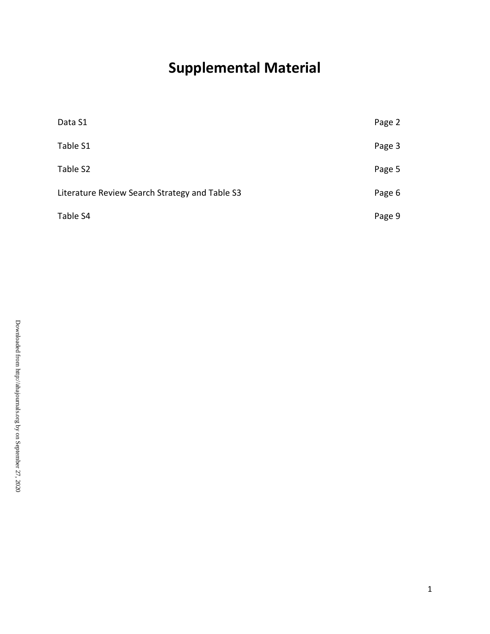# **Supplemental Material**

| Data S1                                        | Page 2 |
|------------------------------------------------|--------|
| Table S1                                       | Page 3 |
| Table S2                                       | Page 5 |
| Literature Review Search Strategy and Table S3 | Page 6 |
| Table S4                                       | Page 9 |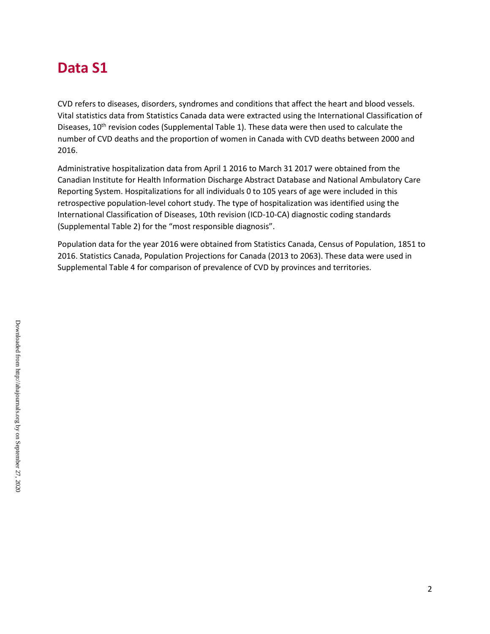## **Data S1**

CVD refers to diseases, disorders, syndromes and conditions that affect the heart and blood vessels. Vital statistics data from Statistics Canada data were extracted using the International Classification of Diseases, 10<sup>th</sup> revision codes (Supplemental Table 1). These data were then used to calculate the number of CVD deaths and the proportion of women in Canada with CVD deaths between 2000 and 2016.

Administrative hospitalization data from April 1 2016 to March 31 2017 were obtained from the Canadian Institute for Health Information Discharge Abstract Database and National Ambulatory Care Reporting System. Hospitalizations for all individuals 0 to 105 years of age were included in this retrospective population-level cohort study. The type of hospitalization was identified using the International Classification of Diseases, 10th revision (ICD-10-CA) diagnostic coding standards (Supplemental Table 2) for the "most responsible diagnosis".

Population data for the year 2016 were obtained from Statistics Canada, Census of Population, 1851 to 2016. Statistics Canada, Population Projections for Canada (2013 to 2063). These data were used in Supplemental Table 4 for comparison of prevalence of CVD by provinces and territories.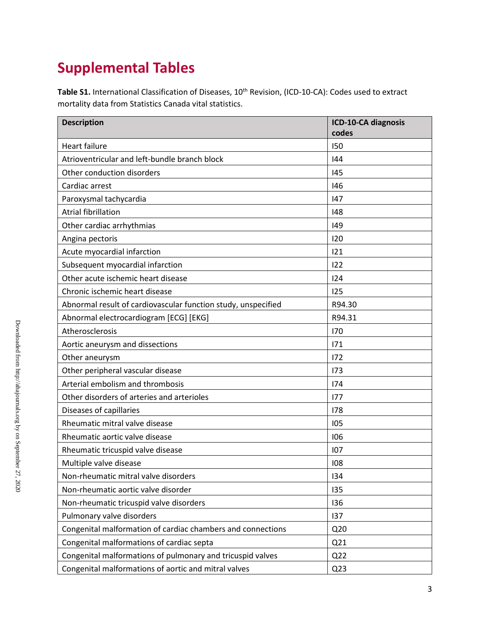# **Supplemental Tables**

Table S1. International Classification of Diseases, 10<sup>th</sup> Revision, (ICD-10-CA): Codes used to extract mortality data from Statistics Canada vital statistics.

| <b>Description</b>                                            | ICD-10-CA diagnosis<br>codes |  |  |  |
|---------------------------------------------------------------|------------------------------|--|--|--|
| <b>Heart failure</b>                                          | 150                          |  |  |  |
| Atrioventricular and left-bundle branch block                 | 44                           |  |  |  |
| Other conduction disorders                                    | 145                          |  |  |  |
| Cardiac arrest                                                | 146                          |  |  |  |
| Paroxysmal tachycardia                                        | 147                          |  |  |  |
| <b>Atrial fibrillation</b>                                    | 148                          |  |  |  |
| Other cardiac arrhythmias                                     | 149                          |  |  |  |
| Angina pectoris                                               | 120                          |  |  |  |
| Acute myocardial infarction                                   | 121                          |  |  |  |
| Subsequent myocardial infarction                              | 122                          |  |  |  |
| Other acute ischemic heart disease                            | 124                          |  |  |  |
| Chronic ischemic heart disease                                | 125                          |  |  |  |
| Abnormal result of cardiovascular function study, unspecified | R94.30                       |  |  |  |
| Abnormal electrocardiogram [ECG] [EKG]                        | R94.31                       |  |  |  |
| Atherosclerosis                                               | 170                          |  |  |  |
| Aortic aneurysm and dissections                               | 171                          |  |  |  |
| Other aneurysm                                                | 172                          |  |  |  |
| Other peripheral vascular disease                             | 173                          |  |  |  |
| Arterial embolism and thrombosis                              | 174                          |  |  |  |
| Other disorders of arteries and arterioles                    | 177                          |  |  |  |
| Diseases of capillaries                                       | 178                          |  |  |  |
| Rheumatic mitral valve disease                                | 105                          |  |  |  |
| Rheumatic aortic valve disease                                | 106                          |  |  |  |
| Rheumatic tricuspid valve disease                             | 107                          |  |  |  |
| Multiple valve disease                                        | 108                          |  |  |  |
| Non-rheumatic mitral valve disorders                          | 134                          |  |  |  |
| Non-rheumatic aortic valve disorder                           | 135                          |  |  |  |
| Non-rheumatic tricuspid valve disorders                       | 136                          |  |  |  |
| Pulmonary valve disorders                                     | 137                          |  |  |  |
| Congenital malformation of cardiac chambers and connections   | Q <sub>20</sub>              |  |  |  |
| Congenital malformations of cardiac septa                     | Q21                          |  |  |  |
| Congenital malformations of pulmonary and tricuspid valves    | Q <sub>22</sub>              |  |  |  |
| Congenital malformations of aortic and mitral valves          | Q <sub>23</sub>              |  |  |  |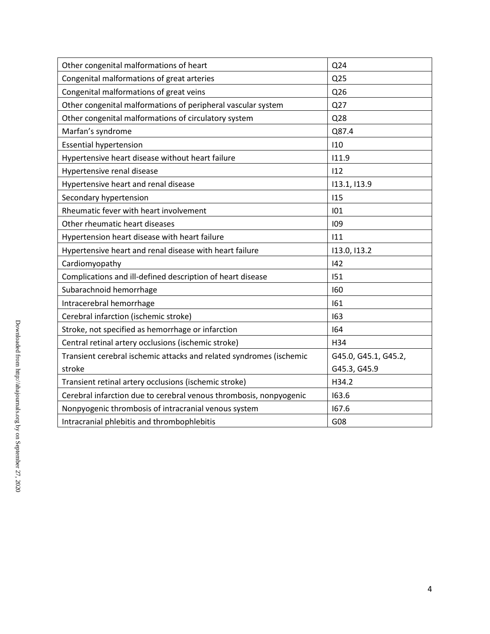| Other congenital malformations of heart                             | Q24                  |  |  |  |
|---------------------------------------------------------------------|----------------------|--|--|--|
| Congenital malformations of great arteries                          | Q <sub>25</sub>      |  |  |  |
| Congenital malformations of great veins                             | Q26                  |  |  |  |
| Other congenital malformations of peripheral vascular system        | Q27                  |  |  |  |
| Other congenital malformations of circulatory system                | Q <sub>28</sub>      |  |  |  |
| Marfan's syndrome                                                   | Q87.4                |  |  |  |
| <b>Essential hypertension</b>                                       | 110                  |  |  |  |
| Hypertensive heart disease without heart failure                    | 111.9                |  |  |  |
| Hypertensive renal disease                                          | 112                  |  |  |  |
| Hypertensive heart and renal disease                                | 113.1, 113.9         |  |  |  |
| Secondary hypertension                                              | 115                  |  |  |  |
| Rheumatic fever with heart involvement                              | 101                  |  |  |  |
| Other rheumatic heart diseases                                      | 109                  |  |  |  |
| Hypertension heart disease with heart failure                       | 111                  |  |  |  |
| Hypertensive heart and renal disease with heart failure             | 113.0, 113.2         |  |  |  |
| Cardiomyopathy                                                      | 142                  |  |  |  |
| Complications and ill-defined description of heart disease          | 151                  |  |  |  |
| Subarachnoid hemorrhage                                             | 160                  |  |  |  |
| Intracerebral hemorrhage                                            | 161                  |  |  |  |
| Cerebral infarction (ischemic stroke)                               | 163                  |  |  |  |
| Stroke, not specified as hemorrhage or infarction                   | 164                  |  |  |  |
| Central retinal artery occlusions (ischemic stroke)                 | H34                  |  |  |  |
| Transient cerebral ischemic attacks and related syndromes (ischemic | G45.0, G45.1, G45.2, |  |  |  |
| stroke                                                              | G45.3, G45.9         |  |  |  |
| Transient retinal artery occlusions (ischemic stroke)               | H34.2                |  |  |  |
| Cerebral infarction due to cerebral venous thrombosis, nonpyogenic  | 163.6                |  |  |  |
| Nonpyogenic thrombosis of intracranial venous system                | 167.6                |  |  |  |
| Intracranial phlebitis and thrombophlebitis                         | G08                  |  |  |  |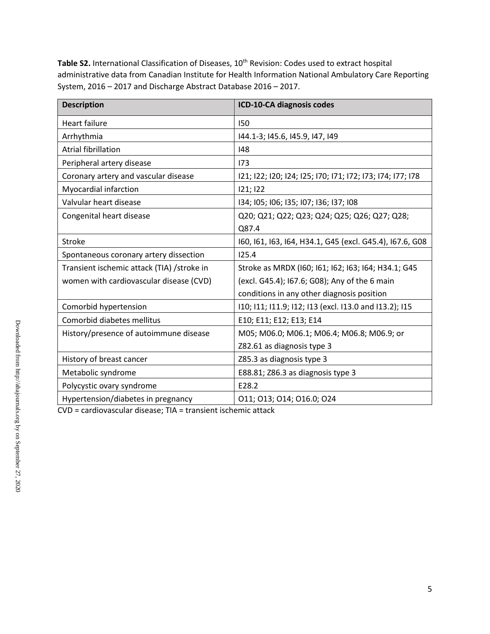Table S2. International Classification of Diseases, 10<sup>th</sup> Revision: Codes used to extract hospital administrative data from Canadian Institute for Health Information National Ambulatory Care Reporting System, 2016 – 2017 and Discharge Abstract Database 2016 – 2017.

| <b>Description</b>                          | ICD-10-CA diagnosis codes                                  |
|---------------------------------------------|------------------------------------------------------------|
| <b>Heart failure</b>                        | 150                                                        |
| Arrhythmia                                  | 144.1-3; 145.6, 145.9, 147, 149                            |
| <b>Atrial fibrillation</b>                  | 148                                                        |
| Peripheral artery disease                   | 173                                                        |
| Coronary artery and vascular disease        | 121; 122; 120; 124; 125; 170; 171; 172; 173; 174; 177; 178 |
| Myocardial infarction                       | 121; 122                                                   |
| Valvular heart disease                      | 134; 105; 106; 135; 107; 136; 137; 108                     |
| Congenital heart disease                    | Q20; Q21; Q22; Q23; Q24; Q25; Q26; Q27; Q28;               |
|                                             | Q87.4                                                      |
| <b>Stroke</b>                               | 160, 161, 163, 164, H34.1, G45 (excl. G45.4), 167.6, G08   |
| Spontaneous coronary artery dissection      | 125.4                                                      |
| Transient ischemic attack (TIA) / stroke in | Stroke as MRDX (160; 161; 162; 163; 164; H34.1; G45        |
| women with cardiovascular disease (CVD)     | (excl. G45.4); I67.6; G08); Any of the 6 main              |
|                                             | conditions in any other diagnosis position                 |
| Comorbid hypertension                       | I10; I11; I11.9; I12; I13 (excl. I13.0 and I13.2); I15     |
| Comorbid diabetes mellitus                  | E10; E11; E12; E13; E14                                    |
| History/presence of autoimmune disease      | M05; M06.0; M06.1; M06.4; M06.8; M06.9; or                 |
|                                             | Z82.61 as diagnosis type 3                                 |
| History of breast cancer                    | Z85.3 as diagnosis type 3                                  |
| Metabolic syndrome                          | E88.81; Z86.3 as diagnosis type 3                          |
| Polycystic ovary syndrome                   | E28.2                                                      |
| Hypertension/diabetes in pregnancy          | 011; 013; 014; 016.0; 024                                  |

CVD = cardiovascular disease; TIA = transient ischemic attack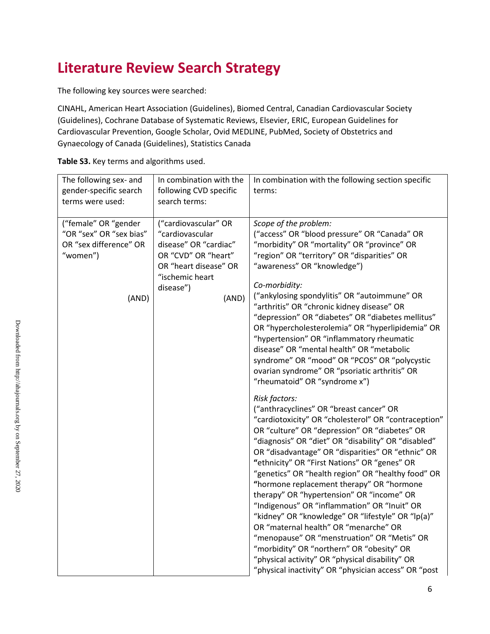## **Literature Review Search Strategy**

The following key sources were searched:

CINAHL, American Heart Association (Guidelines), Biomed Central, Canadian Cardiovascular Society (Guidelines), Cochrane Database of Systematic Reviews, Elsevier, ERIC, European Guidelines for Cardiovascular Prevention, Google Scholar, Ovid MEDLINE, PubMed, Society of Obstetrics and Gynaecology of Canada (Guidelines), Statistics Canada

| The following sex- and<br>gender-specific search<br>terms were used:                  | In combination with the<br>following CVD specific<br>search terms:                                                                               | In combination with the following section specific<br>terms:                                                                                                                                                                                                                                                                                                                                                                                                                                                                                                                                                                                                                                                                                                                                                                       |
|---------------------------------------------------------------------------------------|--------------------------------------------------------------------------------------------------------------------------------------------------|------------------------------------------------------------------------------------------------------------------------------------------------------------------------------------------------------------------------------------------------------------------------------------------------------------------------------------------------------------------------------------------------------------------------------------------------------------------------------------------------------------------------------------------------------------------------------------------------------------------------------------------------------------------------------------------------------------------------------------------------------------------------------------------------------------------------------------|
| ("female" OR "gender<br>"OR "sex" OR "sex bias"<br>OR "sex difference" OR<br>"women") | ("cardiovascular" OR<br>"cardiovascular<br>disease" OR "cardiac"<br>OR "CVD" OR "heart"<br>OR "heart disease" OR<br>"ischemic heart<br>disease") | Scope of the problem:<br>("access" OR "blood pressure" OR "Canada" OR<br>"morbidity" OR "mortality" OR "province" OR<br>"region" OR "territory" OR "disparities" OR<br>"awareness" OR "knowledge")<br>Co-morbidity:                                                                                                                                                                                                                                                                                                                                                                                                                                                                                                                                                                                                                |
| (AND)                                                                                 | (AND)                                                                                                                                            | ("ankylosing spondylitis" OR "autoimmune" OR<br>"arthritis" OR "chronic kidney disease" OR<br>"depression" OR "diabetes" OR "diabetes mellitus"<br>OR "hypercholesterolemia" OR "hyperlipidemia" OR<br>"hypertension" OR "inflammatory rheumatic<br>disease" OR "mental health" OR "metabolic<br>syndrome" OR "mood" OR "PCOS" OR "polycystic<br>ovarian syndrome" OR "psoriatic arthritis" OR<br>"rheumatoid" OR "syndrome x")                                                                                                                                                                                                                                                                                                                                                                                                    |
|                                                                                       |                                                                                                                                                  | Risk factors:<br>("anthracyclines" OR "breast cancer" OR<br>"cardiotoxicity" OR "cholesterol" OR "contraception"<br>OR "culture" OR "depression" OR "diabetes" OR<br>"diagnosis" OR "diet" OR "disability" OR "disabled"<br>OR "disadvantage" OR "disparities" OR "ethnic" OR<br>"ethnicity" OR "First Nations" OR "genes" OR<br>"genetics" OR "health region" OR "healthy food" OR<br>"hormone replacement therapy" OR "hormone<br>therapy" OR "hypertension" OR "income" OR<br>"Indigenous" OR "inflammation" OR "Inuit" OR<br>"kidney" OR "knowledge" OR "lifestyle" OR "lp(a)"<br>OR "maternal health" OR "menarche" OR<br>"menopause" OR "menstruation" OR "Metis" OR<br>"morbidity" OR "northern" OR "obesity" OR<br>"physical activity" OR "physical disability" OR<br>"physical inactivity" OR "physician access" OR "post |

**Table S3.** Key terms and algorithms used.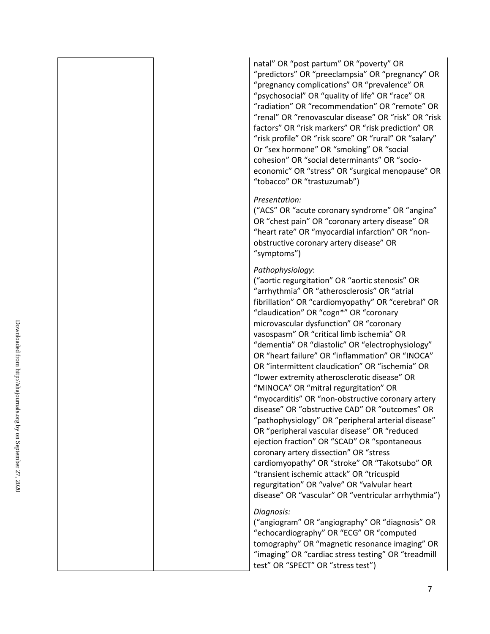natal" OR "post partum" OR "poverty" OR "predictors" OR "preeclampsia" OR "pregnancy" OR "pregnancy complications" OR "prevalence" OR "psychosocial" OR "quality of life" OR "race" OR "radiation" OR "recommendation" OR "remote" OR "renal" OR "renovascular disease" OR "risk" OR "risk factors" OR "risk markers" OR "risk prediction" OR "risk profile" OR "risk score" OR "rural" OR "salary" Or "sex hormone" OR "smoking" OR "social cohesion" OR "social determinants" OR "socioeconomic" OR "stress" OR "surgical menopause" OR "tobacco" OR "trastuzumab")

## *Presentation:*

("ACS" OR "acute coronary syndrome" OR "angina" OR "chest pain" OR "coronary artery disease" OR "heart rate" OR "myocardial infarction" OR "nonobstructive coronary artery disease" OR "symptoms")

## *Pathophysiology*:

("aortic regurgitation" OR "aortic stenosis" OR "arrhythmia" OR "atherosclerosis" OR "atrial fibrillation" OR "cardiomyopathy" OR "cerebral" OR "claudication" OR "cogn\*" OR "coronary microvascular dysfunction" OR "coronary vasospasm" OR "critical limb ischemia" OR "dementia" OR "diastolic" OR "electrophysiology" OR "heart failure" OR "inflammation" OR "INOCA" OR "intermittent claudication" OR "ischemia" OR "lower extremity atherosclerotic disease" OR "MINOCA" OR "mitral regurgitation" OR "myocarditis" OR "non-obstructive coronary artery disease" OR "obstructive CAD" OR "outcomes" OR "pathophysiology" OR "peripheral arterial disease" OR "peripheral vascular disease" OR "reduced ejection fraction" OR "SCAD" OR "spontaneous coronary artery dissection" OR "stress cardiomyopathy" OR "stroke" OR "Takotsubo" OR "transient ischemic attack" OR "tricuspid regurgitation" OR "valve" OR "valvular heart disease" OR "vascular" OR "ventricular arrhythmia")

## *Diagnosis:*

("angiogram" OR "angiography" OR "diagnosis" OR "echocardiography" OR "ECG" OR "computed tomography" OR "magnetic resonance imaging" OR "imaging" OR "cardiac stress testing" OR "treadmill test" OR "SPECT" OR "stress test")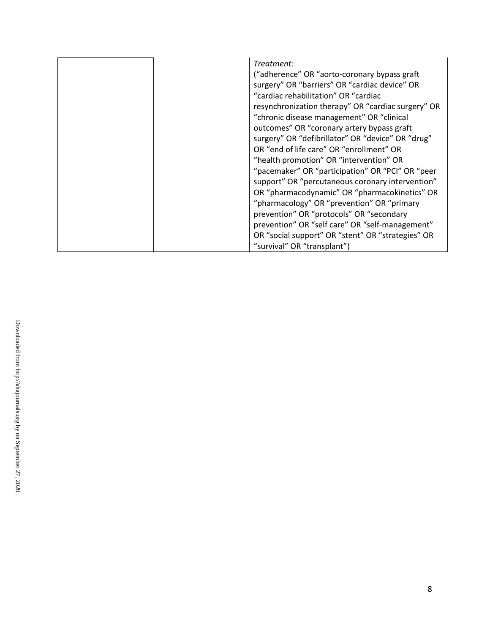| Treatment:<br>("adherence" OR "aorto-coronary bypass graft<br>surgery" OR "barriers" OR "cardiac device" OR<br>"cardiac rehabilitation" OR "cardiac<br>resynchronization therapy" OR "cardiac surgery" OR<br>"chronic disease management" OR "clinical<br>outcomes" OR "coronary artery bypass graft<br>surgery" OR "defibrillator" OR "device" OR "drug"<br>OR "end of life care" OR "enrollment" OR<br>"health promotion" OR "intervention" OR<br>"pacemaker" OR "participation" OR "PCI" OR "peer<br>support" OR "percutaneous coronary intervention"<br>OR "pharmacodynamic" OR "pharmacokinetics" OR<br>"pharmacology" OR "prevention" OR "primary<br>prevention" OR "protocols" OR "secondary<br>prevention" OR "self care" OR "self-management" |
|--------------------------------------------------------------------------------------------------------------------------------------------------------------------------------------------------------------------------------------------------------------------------------------------------------------------------------------------------------------------------------------------------------------------------------------------------------------------------------------------------------------------------------------------------------------------------------------------------------------------------------------------------------------------------------------------------------------------------------------------------------|
| OR "social support" OR "stent" OR "strategies" OR<br>"survival" OR "transplant")                                                                                                                                                                                                                                                                                                                                                                                                                                                                                                                                                                                                                                                                       |
|                                                                                                                                                                                                                                                                                                                                                                                                                                                                                                                                                                                                                                                                                                                                                        |